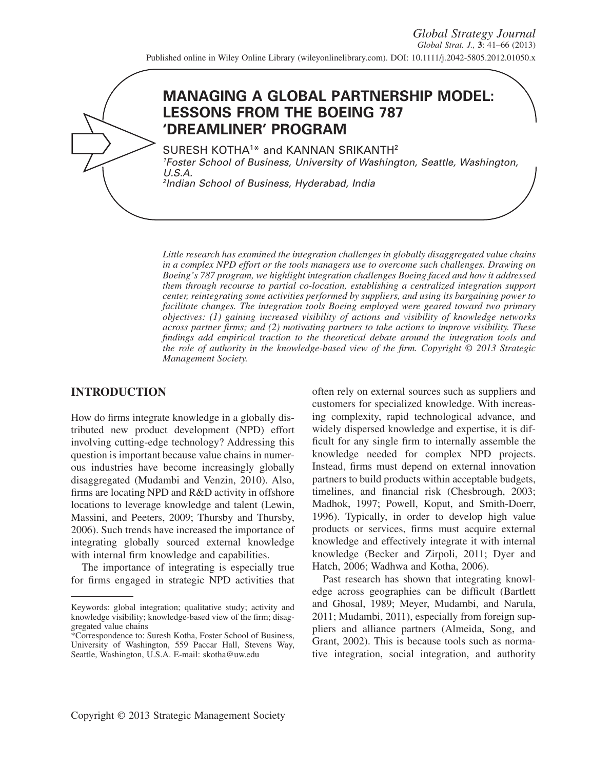# **MANAGING A GLOBAL PARTNERSHIP MODEL: LESSONS FROM THE BOEING 787 'DREAMLINER' PROGRAM**

SURESH KOTHA<sup>1\*</sup> and KANNAN SRIKANTH<sup>2</sup> *1 Foster School of Business, University of Washington, Seattle, Washington, U.S.A. 2 Indian School of Business, Hyderabad, India*

*Little research has examined the integration challenges in globally disaggregated value chains in a complex NPD effort or the tools managers use to overcome such challenges. Drawing on Boeing's 787 program, we highlight integration challenges Boeing faced and how it addressed them through recourse to partial co-location, establishing a centralized integration support center, reintegrating some activities performed by suppliers, and using its bargaining power to facilitate changes. The integration tools Boeing employed were geared toward two primary objectives: (1) gaining increased visibility of actions and visibility of knowledge networks across partner firms; and (2) motivating partners to take actions to improve visibility. These findings add empirical traction to the theoretical debate around the integration tools and the role of authority in the knowledge-based view of the firm. Copyright © 2013 Strategic Management Society.*

# **INTRODUCTION**

How do firms integrate knowledge in a globally distributed new product development (NPD) effort involving cutting-edge technology? Addressing this question is important because value chains in numerous industries have become increasingly globally disaggregated (Mudambi and Venzin, 2010). Also, firms are locating NPD and R&D activity in offshore locations to leverage knowledge and talent (Lewin, Massini, and Peeters, 2009; Thursby and Thursby, 2006). Such trends have increased the importance of integrating globally sourced external knowledge with internal firm knowledge and capabilities.

The importance of integrating is especially true for firms engaged in strategic NPD activities that often rely on external sources such as suppliers and customers for specialized knowledge. With increasing complexity, rapid technological advance, and widely dispersed knowledge and expertise, it is difficult for any single firm to internally assemble the knowledge needed for complex NPD projects. Instead, firms must depend on external innovation partners to build products within acceptable budgets, timelines, and financial risk (Chesbrough, 2003; Madhok, 1997; Powell, Koput, and Smith-Doerr, 1996). Typically, in order to develop high value products or services, firms must acquire external knowledge and effectively integrate it with internal knowledge (Becker and Zirpoli, 2011; Dyer and Hatch, 2006; Wadhwa and Kotha, 2006).

Past research has shown that integrating knowledge across geographies can be difficult (Bartlett and Ghosal, 1989; Meyer, Mudambi, and Narula, 2011; Mudambi, 2011), especially from foreign suppliers and alliance partners (Almeida, Song, and Grant, 2002). This is because tools such as normative integration, social integration, and authority

Keywords: global integration; qualitative study; activity and knowledge visibility; knowledge-based view of the firm; disaggregated value chains

<sup>\*</sup>Correspondence to: Suresh Kotha, Foster School of Business, University of Washington, 559 Paccar Hall, Stevens Way, Seattle, Washington, U.S.A. E-mail: skotha@uw.edu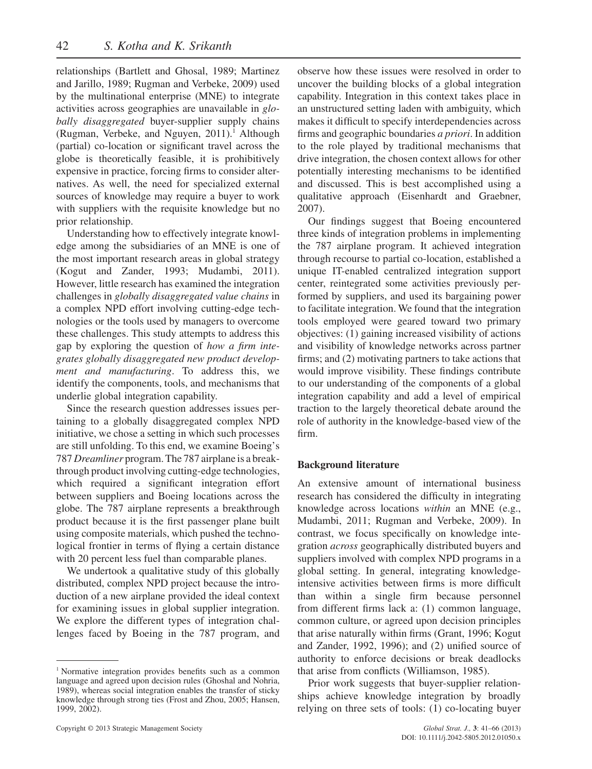relationships (Bartlett and Ghosal, 1989; Martinez and Jarillo, 1989; Rugman and Verbeke, 2009) used by the multinational enterprise (MNE) to integrate activities across geographies are unavailable in *globally disaggregated* buyer-supplier supply chains (Rugman, Verbeke, and Nguyen,  $2011$ ).<sup>1</sup> Although (partial) co-location or significant travel across the globe is theoretically feasible, it is prohibitively expensive in practice, forcing firms to consider alternatives. As well, the need for specialized external sources of knowledge may require a buyer to work with suppliers with the requisite knowledge but no prior relationship.

Understanding how to effectively integrate knowledge among the subsidiaries of an MNE is one of the most important research areas in global strategy (Kogut and Zander, 1993; Mudambi, 2011). However, little research has examined the integration challenges in *globally disaggregated value chains* in a complex NPD effort involving cutting-edge technologies or the tools used by managers to overcome these challenges. This study attempts to address this gap by exploring the question of *how a firm integrates globally disaggregated new product development and manufacturing*. To address this, we identify the components, tools, and mechanisms that underlie global integration capability.

Since the research question addresses issues pertaining to a globally disaggregated complex NPD initiative, we chose a setting in which such processes are still unfolding. To this end, we examine Boeing's 787 *Dreamliner* program. The 787 airplane is a breakthrough product involving cutting-edge technologies, which required a significant integration effort between suppliers and Boeing locations across the globe. The 787 airplane represents a breakthrough product because it is the first passenger plane built using composite materials, which pushed the technological frontier in terms of flying a certain distance with 20 percent less fuel than comparable planes.

We undertook a qualitative study of this globally distributed, complex NPD project because the introduction of a new airplane provided the ideal context for examining issues in global supplier integration. We explore the different types of integration challenges faced by Boeing in the 787 program, and

observe how these issues were resolved in order to uncover the building blocks of a global integration capability. Integration in this context takes place in an unstructured setting laden with ambiguity, which makes it difficult to specify interdependencies across firms and geographic boundaries *a priori*. In addition to the role played by traditional mechanisms that drive integration, the chosen context allows for other potentially interesting mechanisms to be identified and discussed. This is best accomplished using a qualitative approach (Eisenhardt and Graebner, 2007).

Our findings suggest that Boeing encountered three kinds of integration problems in implementing the 787 airplane program. It achieved integration through recourse to partial co-location, established a unique IT-enabled centralized integration support center, reintegrated some activities previously performed by suppliers, and used its bargaining power to facilitate integration. We found that the integration tools employed were geared toward two primary objectives: (1) gaining increased visibility of actions and visibility of knowledge networks across partner firms; and (2) motivating partners to take actions that would improve visibility. These findings contribute to our understanding of the components of a global integration capability and add a level of empirical traction to the largely theoretical debate around the role of authority in the knowledge-based view of the firm.

## **Background literature**

An extensive amount of international business research has considered the difficulty in integrating knowledge across locations *within* an MNE (e.g., Mudambi, 2011; Rugman and Verbeke, 2009). In contrast, we focus specifically on knowledge integration *across* geographically distributed buyers and suppliers involved with complex NPD programs in a global setting. In general, integrating knowledgeintensive activities between firms is more difficult than within a single firm because personnel from different firms lack a: (1) common language, common culture, or agreed upon decision principles that arise naturally within firms (Grant, 1996; Kogut and Zander, 1992, 1996); and (2) unified source of authority to enforce decisions or break deadlocks that arise from conflicts (Williamson, 1985).

Prior work suggests that buyer-supplier relationships achieve knowledge integration by broadly relying on three sets of tools: (1) co-locating buyer

<sup>&</sup>lt;sup>1</sup> Normative integration provides benefits such as a common language and agreed upon decision rules (Ghoshal and Nohria, 1989), whereas social integration enables the transfer of sticky knowledge through strong ties (Frost and Zhou, 2005; Hansen, 1999, 2002).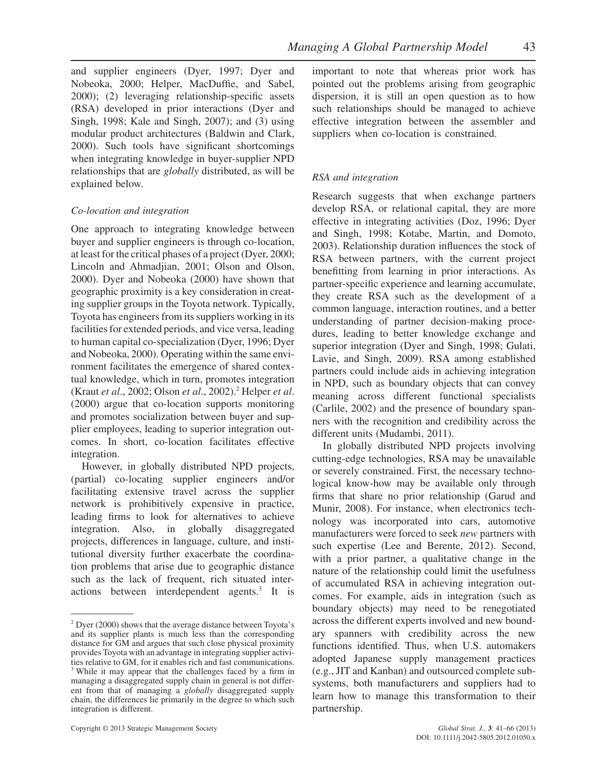and supplier engineers (Dyer, 1997; Dyer and Nobeoka, 2000; Helper, MacDuffie, and Sabel, 2000); (2) leveraging relationship-specific assets (RSA) developed in prior interactions (Dyer and Singh, 1998; Kale and Singh, 2007); and (3) using modular product architectures (Baldwin and Clark, 2000). Such tools have significant shortcomings when integrating knowledge in buyer-supplier NPD relationships that are *globally* distributed, as will be explained below.

## *Co-location and integration*

One approach to integrating knowledge between buyer and supplier engineers is through co-location, at least for the critical phases of a project (Dyer, 2000; Lincoln and Ahmadjian, 2001; Olson and Olson, 2000). Dyer and Nobeoka (2000) have shown that geographic proximity is a key consideration in creating supplier groups in the Toyota network. Typically, Toyota has engineers from its suppliers working in its facilities for extended periods, and vice versa, leading to human capital co-specialization (Dyer, 1996; Dyer and Nobeoka, 2000). Operating within the same environment facilitates the emergence of shared contextual knowledge, which in turn, promotes integration (Kraut *et al*., 2002; Olson *et al*., 2002).2 Helper *et al*. (2000) argue that co-location supports monitoring and promotes socialization between buyer and supplier employees, leading to superior integration outcomes. In short, co-location facilitates effective integration.

However, in globally distributed NPD projects, (partial) co-locating supplier engineers and/or facilitating extensive travel across the supplier network is prohibitively expensive in practice, leading firms to look for alternatives to achieve integration. Also, in globally disaggregated projects, differences in language, culture, and institutional diversity further exacerbate the coordination problems that arise due to geographic distance such as the lack of frequent, rich situated interactions between interdependent agents.3 It is important to note that whereas prior work has pointed out the problems arising from geographic dispersion, it is still an open question as to how such relationships should be managed to achieve effective integration between the assembler and suppliers when co-location is constrained.

## *RSA and integration*

Research suggests that when exchange partners develop RSA, or relational capital, they are more effective in integrating activities (Doz, 1996; Dyer and Singh, 1998; Kotabe, Martin, and Domoto, 2003). Relationship duration influences the stock of RSA between partners, with the current project benefitting from learning in prior interactions. As partner-specific experience and learning accumulate, they create RSA such as the development of a common language, interaction routines, and a better understanding of partner decision-making procedures, leading to better knowledge exchange and superior integration (Dyer and Singh, 1998; Gulati, Lavie, and Singh, 2009). RSA among established partners could include aids in achieving integration in NPD, such as boundary objects that can convey meaning across different functional specialists (Carlile, 2002) and the presence of boundary spanners with the recognition and credibility across the different units (Mudambi, 2011).

In globally distributed NPD projects involving cutting-edge technologies, RSA may be unavailable or severely constrained. First, the necessary technological know-how may be available only through firms that share no prior relationship (Garud and Munir, 2008). For instance, when electronics technology was incorporated into cars, automotive manufacturers were forced to seek *new* partners with such expertise (Lee and Berente, 2012). Second, with a prior partner, a qualitative change in the nature of the relationship could limit the usefulness of accumulated RSA in achieving integration outcomes. For example, aids in integration (such as boundary objects) may need to be renegotiated across the different experts involved and new boundary spanners with credibility across the new functions identified. Thus, when U.S. automakers adopted Japanese supply management practices (e.g., JIT and Kanban) and outsourced complete subsystems, both manufacturers and suppliers had to learn how to manage this transformation to their partnership.

<sup>2</sup> Dyer (2000) shows that the average distance between Toyota's and its supplier plants is much less than the corresponding distance for GM and argues that such close physical proximity provides Toyota with an advantage in integrating supplier activities relative to GM, for it enables rich and fast communications. <sup>3</sup> While it may appear that the challenges faced by a firm in managing a disaggregated supply chain in general is not different from that of managing a *globally* disaggregated supply chain, the differences lie primarily in the degree to which such integration is different.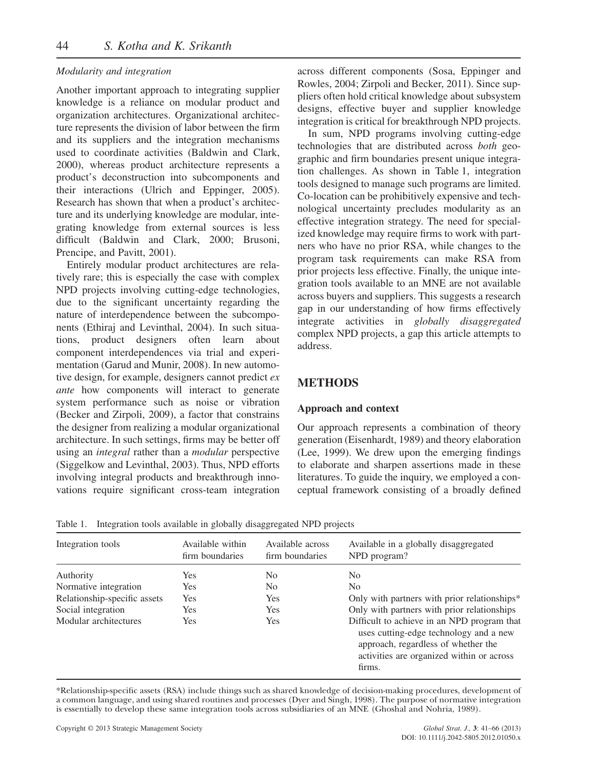#### *Modularity and integration*

Another important approach to integrating supplier knowledge is a reliance on modular product and organization architectures. Organizational architecture represents the division of labor between the firm and its suppliers and the integration mechanisms used to coordinate activities (Baldwin and Clark, 2000), whereas product architecture represents a product's deconstruction into subcomponents and their interactions (Ulrich and Eppinger, 2005). Research has shown that when a product's architecture and its underlying knowledge are modular, integrating knowledge from external sources is less difficult (Baldwin and Clark, 2000; Brusoni, Prencipe, and Pavitt, 2001).

Entirely modular product architectures are relatively rare; this is especially the case with complex NPD projects involving cutting-edge technologies, due to the significant uncertainty regarding the nature of interdependence between the subcomponents (Ethiraj and Levinthal, 2004). In such situations, product designers often learn about component interdependences via trial and experimentation (Garud and Munir, 2008). In new automotive design, for example, designers cannot predict *ex ante* how components will interact to generate system performance such as noise or vibration (Becker and Zirpoli, 2009), a factor that constrains the designer from realizing a modular organizational architecture. In such settings, firms may be better off using an *integral* rather than a *modular* perspective (Siggelkow and Levinthal, 2003). Thus, NPD efforts involving integral products and breakthrough innovations require significant cross-team integration

across different components (Sosa, Eppinger and Rowles, 2004; Zirpoli and Becker, 2011). Since suppliers often hold critical knowledge about subsystem designs, effective buyer and supplier knowledge integration is critical for breakthrough NPD projects.

In sum, NPD programs involving cutting-edge technologies that are distributed across *both* geographic and firm boundaries present unique integration challenges. As shown in Table 1, integration tools designed to manage such programs are limited. Co-location can be prohibitively expensive and technological uncertainty precludes modularity as an effective integration strategy. The need for specialized knowledge may require firms to work with partners who have no prior RSA, while changes to the program task requirements can make RSA from prior projects less effective. Finally, the unique integration tools available to an MNE are not available across buyers and suppliers. This suggests a research gap in our understanding of how firms effectively integrate activities in *globally disaggregated* complex NPD projects, a gap this article attempts to address.

## **METHODS**

## **Approach and context**

Our approach represents a combination of theory generation (Eisenhardt, 1989) and theory elaboration (Lee, 1999). We drew upon the emerging findings to elaborate and sharpen assertions made in these literatures. To guide the inquiry, we employed a conceptual framework consisting of a broadly defined

Table 1. Integration tools available in globally disaggregated NPD projects

| Integration tools            | Available within<br>firm boundaries | Available across<br>firm boundaries | Available in a globally disaggregated<br>NPD program?                                                                                                                               |  |  |  |  |
|------------------------------|-------------------------------------|-------------------------------------|-------------------------------------------------------------------------------------------------------------------------------------------------------------------------------------|--|--|--|--|
| Authority                    | Yes                                 | N <sub>0</sub>                      | No.                                                                                                                                                                                 |  |  |  |  |
| Normative integration        | <b>Yes</b>                          | N <sub>0</sub>                      | N <sub>0</sub>                                                                                                                                                                      |  |  |  |  |
| Relationship-specific assets | <b>Yes</b>                          | <b>Yes</b>                          | Only with partners with prior relationships*                                                                                                                                        |  |  |  |  |
| Social integration           | Yes.                                | <b>Yes</b>                          | Only with partners with prior relationships                                                                                                                                         |  |  |  |  |
| Modular architectures        | Yes.                                | <b>Yes</b>                          | Difficult to achieve in an NPD program that<br>uses cutting-edge technology and a new<br>approach, regardless of whether the<br>activities are organized within or across<br>firms. |  |  |  |  |

\*Relationship-specific assets (RSA) include things such as shared knowledge of decision-making procedures, development of a common language, and using shared routines and processes (Dyer and Singh, 1998). The purpose of normative integration is essentially to develop these same integration tools across subsidiaries of an MNE (Ghoshal and Nohria, 1989).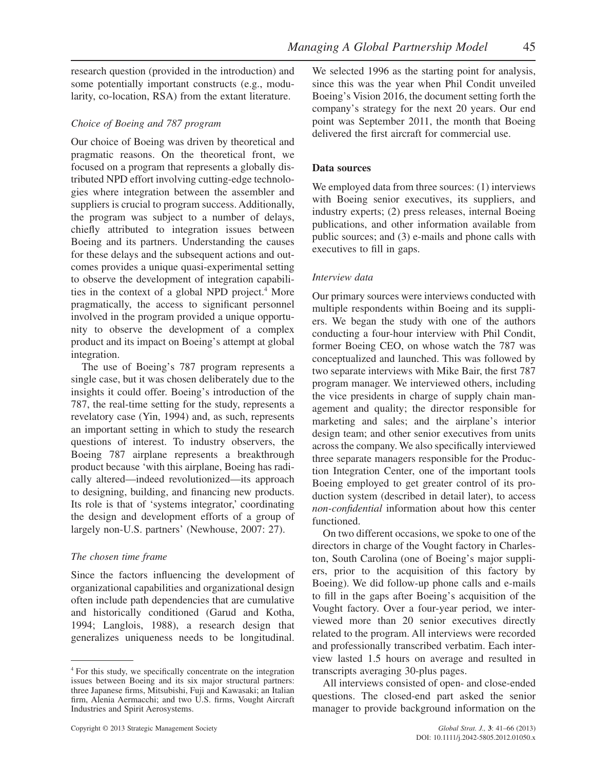research question (provided in the introduction) and some potentially important constructs (e.g., modularity, co-location, RSA) from the extant literature.

## *Choice of Boeing and 787 program*

Our choice of Boeing was driven by theoretical and pragmatic reasons. On the theoretical front, we focused on a program that represents a globally distributed NPD effort involving cutting-edge technologies where integration between the assembler and suppliers is crucial to program success. Additionally, the program was subject to a number of delays, chiefly attributed to integration issues between Boeing and its partners. Understanding the causes for these delays and the subsequent actions and outcomes provides a unique quasi-experimental setting to observe the development of integration capabilities in the context of a global NPD project. $4$  More pragmatically, the access to significant personnel involved in the program provided a unique opportunity to observe the development of a complex product and its impact on Boeing's attempt at global integration.

The use of Boeing's 787 program represents a single case, but it was chosen deliberately due to the insights it could offer. Boeing's introduction of the 787, the real-time setting for the study, represents a revelatory case (Yin, 1994) and, as such, represents an important setting in which to study the research questions of interest. To industry observers, the Boeing 787 airplane represents a breakthrough product because 'with this airplane, Boeing has radically altered—indeed revolutionized—its approach to designing, building, and financing new products. Its role is that of 'systems integrator,' coordinating the design and development efforts of a group of largely non-U.S. partners' (Newhouse, 2007: 27).

# *The chosen time frame*

Since the factors influencing the development of organizational capabilities and organizational design often include path dependencies that are cumulative and historically conditioned (Garud and Kotha, 1994; Langlois, 1988), a research design that generalizes uniqueness needs to be longitudinal.

We selected 1996 as the starting point for analysis, since this was the year when Phil Condit unveiled Boeing's Vision 2016, the document setting forth the company's strategy for the next 20 years. Our end point was September 2011, the month that Boeing delivered the first aircraft for commercial use.

# **Data sources**

We employed data from three sources: (1) interviews with Boeing senior executives, its suppliers, and industry experts; (2) press releases, internal Boeing publications, and other information available from public sources; and (3) e-mails and phone calls with executives to fill in gaps.

# *Interview data*

Our primary sources were interviews conducted with multiple respondents within Boeing and its suppliers. We began the study with one of the authors conducting a four-hour interview with Phil Condit, former Boeing CEO, on whose watch the 787 was conceptualized and launched. This was followed by two separate interviews with Mike Bair, the first 787 program manager. We interviewed others, including the vice presidents in charge of supply chain management and quality; the director responsible for marketing and sales; and the airplane's interior design team; and other senior executives from units across the company. We also specifically interviewed three separate managers responsible for the Production Integration Center, one of the important tools Boeing employed to get greater control of its production system (described in detail later), to access *non-confidential* information about how this center functioned.

On two different occasions, we spoke to one of the directors in charge of the Vought factory in Charleston, South Carolina (one of Boeing's major suppliers, prior to the acquisition of this factory by Boeing). We did follow-up phone calls and e-mails to fill in the gaps after Boeing's acquisition of the Vought factory. Over a four-year period, we interviewed more than 20 senior executives directly related to the program. All interviews were recorded and professionally transcribed verbatim. Each interview lasted 1.5 hours on average and resulted in transcripts averaging 30-plus pages.

All interviews consisted of open- and close-ended questions. The closed-end part asked the senior manager to provide background information on the

<sup>4</sup> For this study, we specifically concentrate on the integration issues between Boeing and its six major structural partners: three Japanese firms, Mitsubishi, Fuji and Kawasaki; an Italian firm, Alenia Aermacchi; and two U.S. firms, Vought Aircraft Industries and Spirit Aerosystems.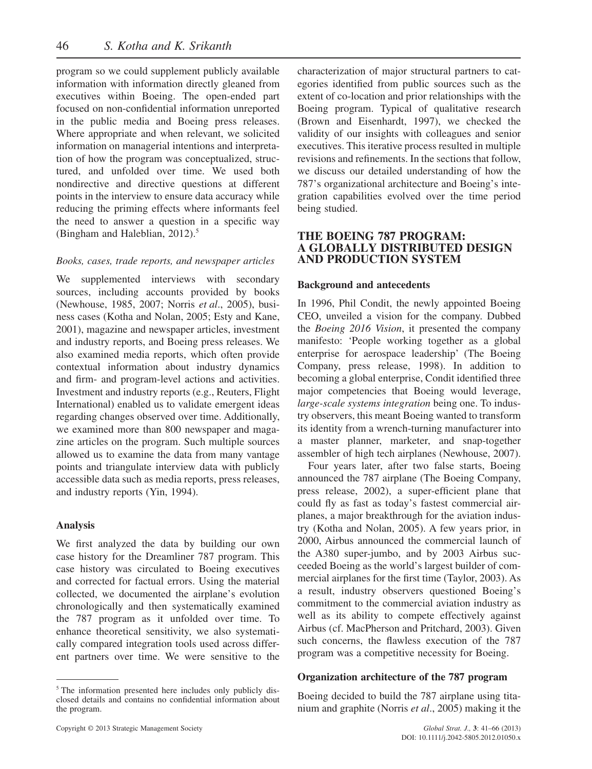program so we could supplement publicly available information with information directly gleaned from executives within Boeing. The open-ended part focused on non-confidential information unreported in the public media and Boeing press releases. Where appropriate and when relevant, we solicited information on managerial intentions and interpretation of how the program was conceptualized, structured, and unfolded over time. We used both nondirective and directive questions at different points in the interview to ensure data accuracy while reducing the priming effects where informants feel the need to answer a question in a specific way (Bingham and Haleblian,  $2012$ ).<sup>5</sup>

## *Books, cases, trade reports, and newspaper articles*

We supplemented interviews with secondary sources, including accounts provided by books (Newhouse, 1985, 2007; Norris *et al*., 2005), business cases (Kotha and Nolan, 2005; Esty and Kane, 2001), magazine and newspaper articles, investment and industry reports, and Boeing press releases. We also examined media reports, which often provide contextual information about industry dynamics and firm- and program-level actions and activities. Investment and industry reports (e.g., Reuters, Flight International) enabled us to validate emergent ideas regarding changes observed over time. Additionally, we examined more than 800 newspaper and magazine articles on the program. Such multiple sources allowed us to examine the data from many vantage points and triangulate interview data with publicly accessible data such as media reports, press releases, and industry reports (Yin, 1994).

## **Analysis**

We first analyzed the data by building our own case history for the Dreamliner 787 program. This case history was circulated to Boeing executives and corrected for factual errors. Using the material collected, we documented the airplane's evolution chronologically and then systematically examined the 787 program as it unfolded over time. To enhance theoretical sensitivity, we also systematically compared integration tools used across different partners over time. We were sensitive to the

<sup>5</sup> The information presented here includes only publicly disclosed details and contains no confidential information about the program.

characterization of major structural partners to categories identified from public sources such as the extent of co-location and prior relationships with the Boeing program. Typical of qualitative research (Brown and Eisenhardt, 1997), we checked the validity of our insights with colleagues and senior executives. This iterative process resulted in multiple revisions and refinements. In the sections that follow, we discuss our detailed understanding of how the 787's organizational architecture and Boeing's integration capabilities evolved over the time period being studied.

## **THE BOEING 787 PROGRAM: A GLOBALLY DISTRIBUTED DESIGN AND PRODUCTION SYSTEM**

## **Background and antecedents**

In 1996, Phil Condit, the newly appointed Boeing CEO, unveiled a vision for the company. Dubbed the *Boeing 2016 Vision*, it presented the company manifesto: 'People working together as a global enterprise for aerospace leadership' (The Boeing Company, press release, 1998). In addition to becoming a global enterprise, Condit identified three major competencies that Boeing would leverage, *large-scale systems integration* being one. To industry observers, this meant Boeing wanted to transform its identity from a wrench-turning manufacturer into a master planner, marketer, and snap-together assembler of high tech airplanes (Newhouse, 2007).

Four years later, after two false starts, Boeing announced the 787 airplane (The Boeing Company, press release, 2002), a super-efficient plane that could fly as fast as today's fastest commercial airplanes, a major breakthrough for the aviation industry (Kotha and Nolan, 2005). A few years prior, in 2000, Airbus announced the commercial launch of the A380 super-jumbo, and by 2003 Airbus succeeded Boeing as the world's largest builder of commercial airplanes for the first time (Taylor, 2003). As a result, industry observers questioned Boeing's commitment to the commercial aviation industry as well as its ability to compete effectively against Airbus (cf. MacPherson and Pritchard, 2003). Given such concerns, the flawless execution of the 787 program was a competitive necessity for Boeing.

## **Organization architecture of the 787 program**

Boeing decided to build the 787 airplane using titanium and graphite (Norris *et al*., 2005) making it the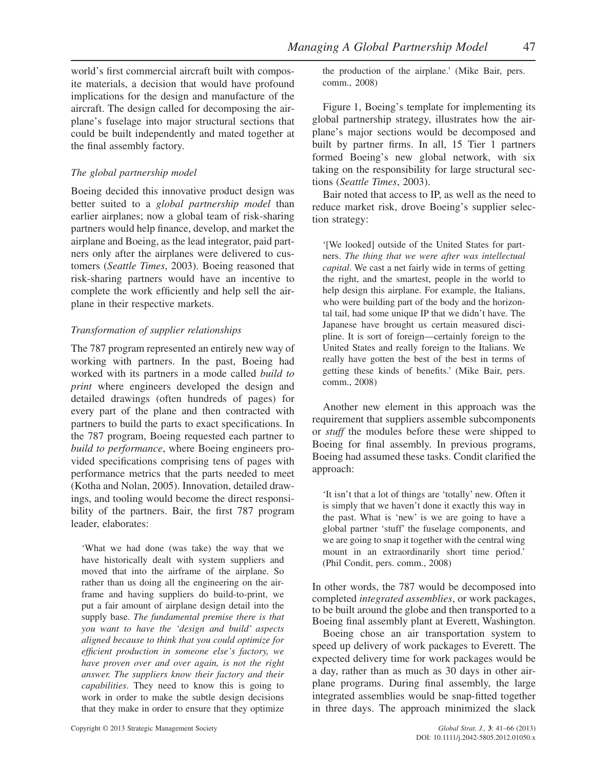world's first commercial aircraft built with composite materials, a decision that would have profound implications for the design and manufacture of the aircraft. The design called for decomposing the airplane's fuselage into major structural sections that could be built independently and mated together at the final assembly factory.

## *The global partnership model*

Boeing decided this innovative product design was better suited to a *global partnership model* than earlier airplanes; now a global team of risk-sharing partners would help finance, develop, and market the airplane and Boeing, as the lead integrator, paid partners only after the airplanes were delivered to customers (*Seattle Times*, 2003). Boeing reasoned that risk-sharing partners would have an incentive to complete the work efficiently and help sell the airplane in their respective markets.

## *Transformation of supplier relationships*

The 787 program represented an entirely new way of working with partners. In the past, Boeing had worked with its partners in a mode called *build to print* where engineers developed the design and detailed drawings (often hundreds of pages) for every part of the plane and then contracted with partners to build the parts to exact specifications. In the 787 program, Boeing requested each partner to *build to performance*, where Boeing engineers provided specifications comprising tens of pages with performance metrics that the parts needed to meet (Kotha and Nolan, 2005). Innovation, detailed drawings, and tooling would become the direct responsibility of the partners. Bair, the first 787 program leader, elaborates:

'What we had done (was take) the way that we have historically dealt with system suppliers and moved that into the airframe of the airplane. So rather than us doing all the engineering on the airframe and having suppliers do build-to-print, we put a fair amount of airplane design detail into the supply base. *The fundamental premise there is that you want to have the 'design and build' aspects aligned because to think that you could optimize for efficient production in someone else's factory, we have proven over and over again, is not the right answer. The suppliers know their factory and their capabilities*. They need to know this is going to work in order to make the subtle design decisions that they make in order to ensure that they optimize

the production of the airplane.' (Mike Bair, pers. comm., 2008)

Figure 1, Boeing's template for implementing its global partnership strategy, illustrates how the airplane's major sections would be decomposed and built by partner firms. In all, 15 Tier 1 partners formed Boeing's new global network, with six taking on the responsibility for large structural sections (*Seattle Times*, 2003).

Bair noted that access to IP, as well as the need to reduce market risk, drove Boeing's supplier selection strategy:

'[We looked] outside of the United States for partners. *The thing that we were after was intellectual capital*. We cast a net fairly wide in terms of getting the right, and the smartest, people in the world to help design this airplane. For example, the Italians, who were building part of the body and the horizontal tail, had some unique IP that we didn't have. The Japanese have brought us certain measured discipline. It is sort of foreign—certainly foreign to the United States and really foreign to the Italians. We really have gotten the best of the best in terms of getting these kinds of benefits.' (Mike Bair, pers. comm., 2008)

Another new element in this approach was the requirement that suppliers assemble subcomponents or *stuff* the modules before these were shipped to Boeing for final assembly. In previous programs, Boeing had assumed these tasks. Condit clarified the approach:

'It isn't that a lot of things are 'totally' new. Often it is simply that we haven't done it exactly this way in the past. What is 'new' is we are going to have a global partner 'stuff' the fuselage components, and we are going to snap it together with the central wing mount in an extraordinarily short time period.' (Phil Condit, pers. comm., 2008)

In other words, the 787 would be decomposed into completed *integrated assemblies*, or work packages, to be built around the globe and then transported to a Boeing final assembly plant at Everett, Washington.

Boeing chose an air transportation system to speed up delivery of work packages to Everett. The expected delivery time for work packages would be a day, rather than as much as 30 days in other airplane programs. During final assembly, the large integrated assemblies would be snap-fitted together in three days. The approach minimized the slack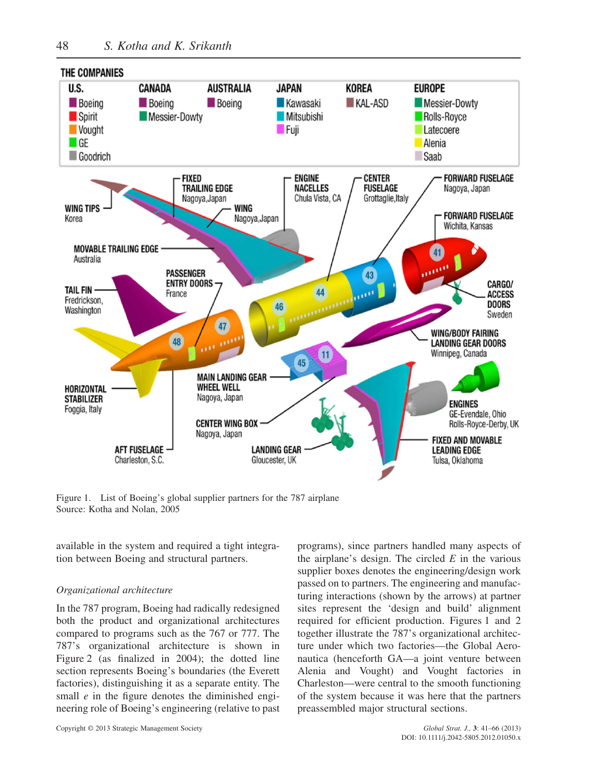

Figure 1. List of Boeing's global supplier partners for the 787 airplane Source: Kotha and Nolan, 2005

available in the system and required a tight integration between Boeing and structural partners.

#### *Organizational architecture*

In the 787 program, Boeing had radically redesigned both the product and organizational architectures compared to programs such as the 767 or 777. The 787's organizational architecture is shown in Figure 2 (as finalized in 2004); the dotted line section represents Boeing's boundaries (the Everett factories), distinguishing it as a separate entity. The small *e* in the figure denotes the diminished engineering role of Boeing's engineering (relative to past

programs), since partners handled many aspects of the airplane's design. The circled *E* in the various supplier boxes denotes the engineering/design work passed on to partners. The engineering and manufacturing interactions (shown by the arrows) at partner sites represent the 'design and build' alignment required for efficient production. Figures 1 and 2 together illustrate the 787's organizational architecture under which two factories—the Global Aeronautica (henceforth GA—a joint venture between Alenia and Vought) and Vought factories in Charleston—were central to the smooth functioning of the system because it was here that the partners preassembled major structural sections.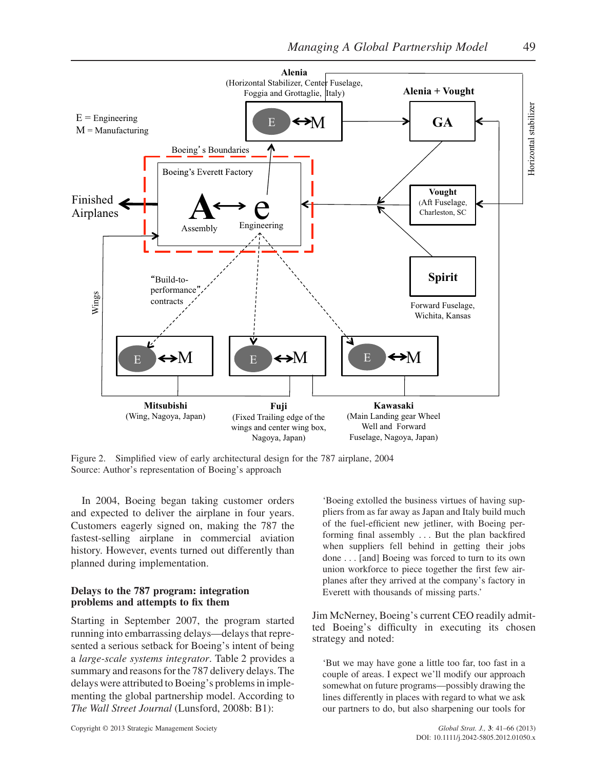

Figure 2. Simplified view of early architectural design for the 787 airplane, 2004 Source: Author's representation of Boeing's approach

In 2004, Boeing began taking customer orders and expected to deliver the airplane in four years. Customers eagerly signed on, making the 787 the fastest-selling airplane in commercial aviation history. However, events turned out differently than planned during implementation.

#### **Delays to the 787 program: integration problems and attempts to fix them**

Starting in September 2007, the program started running into embarrassing delays—delays that represented a serious setback for Boeing's intent of being a *large-scale systems integrator*. Table 2 provides a summary and reasons for the 787 delivery delays. The delays were attributed to Boeing's problems in implementing the global partnership model. According to *The Wall Street Journal* (Lunsford, 2008b: B1):

'Boeing extolled the business virtues of having suppliers from as far away as Japan and Italy build much of the fuel-efficient new jetliner, with Boeing performing final assembly . . . But the plan backfired when suppliers fell behind in getting their jobs done . . . [and] Boeing was forced to turn to its own union workforce to piece together the first few airplanes after they arrived at the company's factory in Everett with thousands of missing parts.'

Jim McNerney, Boeing's current CEO readily admitted Boeing's difficulty in executing its chosen strategy and noted:

'But we may have gone a little too far, too fast in a couple of areas. I expect we'll modify our approach somewhat on future programs—possibly drawing the lines differently in places with regard to what we ask our partners to do, but also sharpening our tools for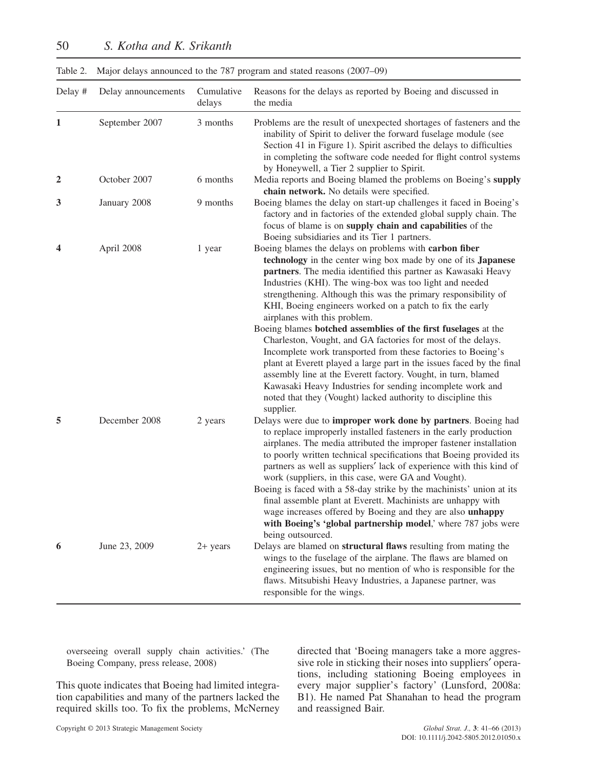| Delay # | Delay announcements | Cumulative<br>delays | Reasons for the delays as reported by Boeing and discussed in<br>the media                                                                                                                                                                                                                                                                                                                                                                                                                                                                                                                                                                                                                                                                                                                                                                                                                              |  |  |  |
|---------|---------------------|----------------------|---------------------------------------------------------------------------------------------------------------------------------------------------------------------------------------------------------------------------------------------------------------------------------------------------------------------------------------------------------------------------------------------------------------------------------------------------------------------------------------------------------------------------------------------------------------------------------------------------------------------------------------------------------------------------------------------------------------------------------------------------------------------------------------------------------------------------------------------------------------------------------------------------------|--|--|--|
| 1       | September 2007      | 3 months             | Problems are the result of unexpected shortages of fasteners and the<br>inability of Spirit to deliver the forward fuselage module (see<br>Section 41 in Figure 1). Spirit ascribed the delays to difficulties<br>in completing the software code needed for flight control systems<br>by Honeywell, a Tier 2 supplier to Spirit.                                                                                                                                                                                                                                                                                                                                                                                                                                                                                                                                                                       |  |  |  |
| 2       | October 2007        | 6 months             | Media reports and Boeing blamed the problems on Boeing's supply<br>chain network. No details were specified.                                                                                                                                                                                                                                                                                                                                                                                                                                                                                                                                                                                                                                                                                                                                                                                            |  |  |  |
| 3       | January 2008        | 9 months             | Boeing blames the delay on start-up challenges it faced in Boeing's<br>factory and in factories of the extended global supply chain. The<br>focus of blame is on supply chain and capabilities of the<br>Boeing subsidiaries and its Tier 1 partners.                                                                                                                                                                                                                                                                                                                                                                                                                                                                                                                                                                                                                                                   |  |  |  |
| 4       | April 2008          | 1 year               | Boeing blames the delays on problems with carbon fiber<br>technology in the center wing box made by one of its Japanese<br>partners. The media identified this partner as Kawasaki Heavy<br>Industries (KHI). The wing-box was too light and needed<br>strengthening. Although this was the primary responsibility of<br>KHI, Boeing engineers worked on a patch to fix the early<br>airplanes with this problem.<br>Boeing blames botched assemblies of the first fuselages at the<br>Charleston, Vought, and GA factories for most of the delays.<br>Incomplete work transported from these factories to Boeing's<br>plant at Everett played a large part in the issues faced by the final<br>assembly line at the Everett factory. Vought, in turn, blamed<br>Kawasaki Heavy Industries for sending incomplete work and<br>noted that they (Vought) lacked authority to discipline this<br>supplier. |  |  |  |
| 5       | December 2008       | 2 years              | Delays were due to improper work done by partners. Boeing had<br>to replace improperly installed fasteners in the early production<br>airplanes. The media attributed the improper fastener installation<br>to poorly written technical specifications that Boeing provided its<br>partners as well as suppliers' lack of experience with this kind of<br>work (suppliers, in this case, were GA and Vought).<br>Boeing is faced with a 58-day strike by the machinists' union at its<br>final assemble plant at Everett. Machinists are unhappy with<br>wage increases offered by Boeing and they are also unhappy<br>with Boeing's 'global partnership model,' where 787 jobs were<br>being outsourced.                                                                                                                                                                                               |  |  |  |
| 6       | June 23, 2009       | $2+$ years           | Delays are blamed on structural flaws resulting from mating the<br>wings to the fuselage of the airplane. The flaws are blamed on<br>engineering issues, but no mention of who is responsible for the<br>flaws. Mitsubishi Heavy Industries, a Japanese partner, was<br>responsible for the wings.                                                                                                                                                                                                                                                                                                                                                                                                                                                                                                                                                                                                      |  |  |  |

Table 2. Major delays announced to the 787 program and stated reasons (2007–09)

overseeing overall supply chain activities.' (The Boeing Company, press release, 2008)

This quote indicates that Boeing had limited integration capabilities and many of the partners lacked the required skills too. To fix the problems, McNerney

directed that 'Boeing managers take a more aggressive role in sticking their noses into suppliers′ operations, including stationing Boeing employees in every major supplier's factory' (Lunsford, 2008a: B1). He named Pat Shanahan to head the program and reassigned Bair.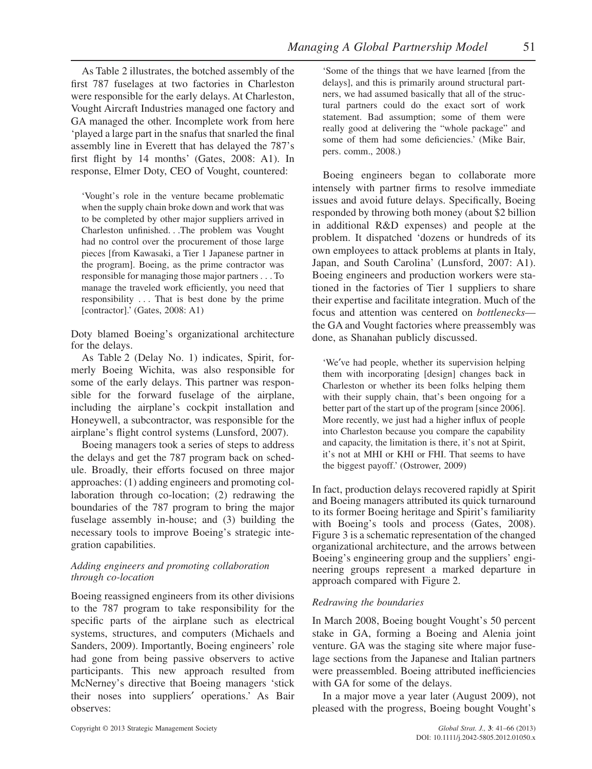As Table 2 illustrates, the botched assembly of the first 787 fuselages at two factories in Charleston were responsible for the early delays. At Charleston, Vought Aircraft Industries managed one factory and GA managed the other. Incomplete work from here 'played a large part in the snafus that snarled the final assembly line in Everett that has delayed the 787's first flight by 14 months' (Gates, 2008: A1). In response, Elmer Doty, CEO of Vought, countered:

'Vought's role in the venture became problematic when the supply chain broke down and work that was to be completed by other major suppliers arrived in Charleston unfinished. . .The problem was Vought had no control over the procurement of those large pieces [from Kawasaki, a Tier 1 Japanese partner in the program]. Boeing, as the prime contractor was responsible for managing those major partners . . . To manage the traveled work efficiently, you need that responsibility . . . That is best done by the prime [contractor].' (Gates, 2008: A1)

Doty blamed Boeing's organizational architecture for the delays.

As Table 2 (Delay No. 1) indicates, Spirit, formerly Boeing Wichita, was also responsible for some of the early delays. This partner was responsible for the forward fuselage of the airplane, including the airplane's cockpit installation and Honeywell, a subcontractor, was responsible for the airplane's flight control systems (Lunsford, 2007).

Boeing managers took a series of steps to address the delays and get the 787 program back on schedule. Broadly, their efforts focused on three major approaches: (1) adding engineers and promoting collaboration through co-location; (2) redrawing the boundaries of the 787 program to bring the major fuselage assembly in-house; and (3) building the necessary tools to improve Boeing's strategic integration capabilities.

## *Adding engineers and promoting collaboration through co-location*

Boeing reassigned engineers from its other divisions to the 787 program to take responsibility for the specific parts of the airplane such as electrical systems, structures, and computers (Michaels and Sanders, 2009). Importantly, Boeing engineers' role had gone from being passive observers to active participants. This new approach resulted from McNerney's directive that Boeing managers 'stick their noses into suppliers′ operations.' As Bair observes:

'Some of the things that we have learned [from the delays], and this is primarily around structural partners, we had assumed basically that all of the structural partners could do the exact sort of work statement. Bad assumption; some of them were really good at delivering the "whole package" and some of them had some deficiencies.' (Mike Bair, pers. comm., 2008.)

Boeing engineers began to collaborate more intensely with partner firms to resolve immediate issues and avoid future delays. Specifically, Boeing responded by throwing both money (about \$2 billion in additional R&D expenses) and people at the problem. It dispatched 'dozens or hundreds of its own employees to attack problems at plants in Italy, Japan, and South Carolina' (Lunsford, 2007: A1). Boeing engineers and production workers were stationed in the factories of Tier 1 suppliers to share their expertise and facilitate integration. Much of the focus and attention was centered on *bottlenecks* the GA and Vought factories where preassembly was done, as Shanahan publicly discussed.

'We′ve had people, whether its supervision helping them with incorporating [design] changes back in Charleston or whether its been folks helping them with their supply chain, that's been ongoing for a better part of the start up of the program [since 2006]. More recently, we just had a higher influx of people into Charleston because you compare the capability and capacity, the limitation is there, it's not at Spirit, it's not at MHI or KHI or FHI. That seems to have the biggest payoff.' (Ostrower, 2009)

In fact, production delays recovered rapidly at Spirit and Boeing managers attributed its quick turnaround to its former Boeing heritage and Spirit's familiarity with Boeing's tools and process (Gates, 2008). Figure 3 is a schematic representation of the changed organizational architecture, and the arrows between Boeing's engineering group and the suppliers' engineering groups represent a marked departure in approach compared with Figure 2.

## *Redrawing the boundaries*

In March 2008, Boeing bought Vought's 50 percent stake in GA, forming a Boeing and Alenia joint venture. GA was the staging site where major fuselage sections from the Japanese and Italian partners were preassembled. Boeing attributed inefficiencies with GA for some of the delays.

In a major move a year later (August 2009), not pleased with the progress, Boeing bought Vought's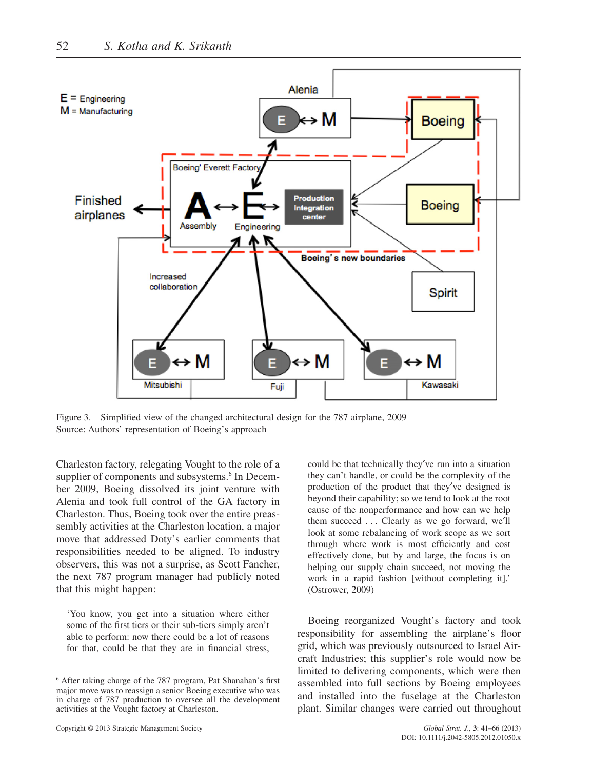

Figure 3. Simplified view of the changed architectural design for the 787 airplane, 2009 Source: Authors' representation of Boeing's approach

Charleston factory, relegating Vought to the role of a supplier of components and subsystems.<sup>6</sup> In December 2009, Boeing dissolved its joint venture with Alenia and took full control of the GA factory in Charleston. Thus, Boeing took over the entire preassembly activities at the Charleston location, a major move that addressed Doty's earlier comments that responsibilities needed to be aligned. To industry observers, this was not a surprise, as Scott Fancher, the next 787 program manager had publicly noted that this might happen:

'You know, you get into a situation where either some of the first tiers or their sub-tiers simply aren't able to perform: now there could be a lot of reasons for that, could be that they are in financial stress, could be that technically they′ve run into a situation they can't handle, or could be the complexity of the production of the product that they′ve designed is beyond their capability; so we tend to look at the root cause of the nonperformance and how can we help them succeed . . . Clearly as we go forward, we′ll look at some rebalancing of work scope as we sort through where work is most efficiently and cost effectively done, but by and large, the focus is on helping our supply chain succeed, not moving the work in a rapid fashion [without completing it].' (Ostrower, 2009)

Boeing reorganized Vought's factory and took responsibility for assembling the airplane's floor grid, which was previously outsourced to Israel Aircraft Industries; this supplier's role would now be limited to delivering components, which were then assembled into full sections by Boeing employees and installed into the fuselage at the Charleston plant. Similar changes were carried out throughout

<sup>6</sup> After taking charge of the 787 program, Pat Shanahan's first major move was to reassign a senior Boeing executive who was in charge of 787 production to oversee all the development activities at the Vought factory at Charleston.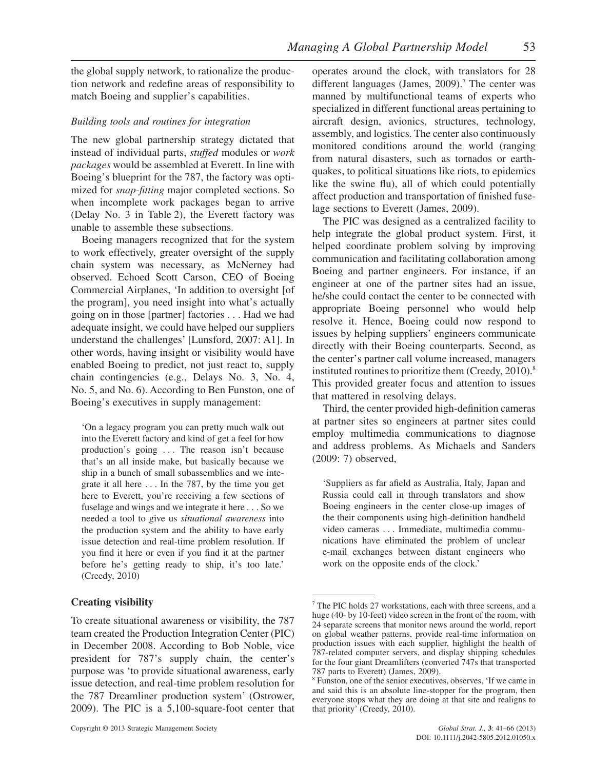the global supply network, to rationalize the production network and redefine areas of responsibility to match Boeing and supplier's capabilities.

#### *Building tools and routines for integration*

The new global partnership strategy dictated that instead of individual parts, *stuffed* modules or *work packages* would be assembled at Everett. In line with Boeing's blueprint for the 787, the factory was optimized for *snap-fitting* major completed sections. So when incomplete work packages began to arrive (Delay No. 3 in Table 2), the Everett factory was unable to assemble these subsections.

Boeing managers recognized that for the system to work effectively, greater oversight of the supply chain system was necessary, as McNerney had observed. Echoed Scott Carson, CEO of Boeing Commercial Airplanes, 'In addition to oversight [of the program], you need insight into what's actually going on in those [partner] factories . . . Had we had adequate insight, we could have helped our suppliers understand the challenges' [Lunsford, 2007: A1]. In other words, having insight or visibility would have enabled Boeing to predict, not just react to, supply chain contingencies (e.g., Delays No. 3, No. 4, No. 5, and No. 6). According to Ben Funston, one of Boeing's executives in supply management:

'On a legacy program you can pretty much walk out into the Everett factory and kind of get a feel for how production's going . . . The reason isn't because that's an all inside make, but basically because we ship in a bunch of small subassemblies and we integrate it all here . . . In the 787, by the time you get here to Everett, you're receiving a few sections of fuselage and wings and we integrate it here . . . So we needed a tool to give us *situational awareness* into the production system and the ability to have early issue detection and real-time problem resolution. If you find it here or even if you find it at the partner before he's getting ready to ship, it's too late.' (Creedy, 2010)

## **Creating visibility**

To create situational awareness or visibility, the 787 team created the Production Integration Center (PIC) in December 2008. According to Bob Noble, vice president for 787's supply chain, the center's purpose was 'to provide situational awareness, early issue detection, and real-time problem resolution for the 787 Dreamliner production system' (Ostrower, 2009). The PIC is a 5,100-square-foot center that operates around the clock, with translators for 28 different languages (James,  $2009$ ).<sup>7</sup> The center was manned by multifunctional teams of experts who specialized in different functional areas pertaining to aircraft design, avionics, structures, technology, assembly, and logistics. The center also continuously monitored conditions around the world (ranging from natural disasters, such as tornados or earthquakes, to political situations like riots, to epidemics like the swine flu), all of which could potentially affect production and transportation of finished fuselage sections to Everett (James, 2009).

The PIC was designed as a centralized facility to help integrate the global product system. First, it helped coordinate problem solving by improving communication and facilitating collaboration among Boeing and partner engineers. For instance, if an engineer at one of the partner sites had an issue, he/she could contact the center to be connected with appropriate Boeing personnel who would help resolve it. Hence, Boeing could now respond to issues by helping suppliers' engineers communicate directly with their Boeing counterparts. Second, as the center's partner call volume increased, managers instituted routines to prioritize them (Creedy, 2010).<sup>8</sup> This provided greater focus and attention to issues that mattered in resolving delays.

Third, the center provided high-definition cameras at partner sites so engineers at partner sites could employ multimedia communications to diagnose and address problems. As Michaels and Sanders (2009: 7) observed,

'Suppliers as far afield as Australia, Italy, Japan and Russia could call in through translators and show Boeing engineers in the center close-up images of the their components using high-definition handheld video cameras . . . Immediate, multimedia communications have eliminated the problem of unclear e-mail exchanges between distant engineers who work on the opposite ends of the clock.'

<sup>7</sup> The PIC holds 27 workstations, each with three screens, and a huge (40- by 10-feet) video screen in the front of the room, with 24 separate screens that monitor news around the world, report on global weather patterns, provide real-time information on production issues with each supplier, highlight the health of 787-related computer servers, and display shipping schedules for the four giant Dreamlifters (converted 747s that transported 787 parts to Everett) (James, 2009).

<sup>8</sup> Funston, one of the senior executives, observes, 'If we came in and said this is an absolute line-stopper for the program, then everyone stops what they are doing at that site and realigns to that priority' (Creedy, 2010).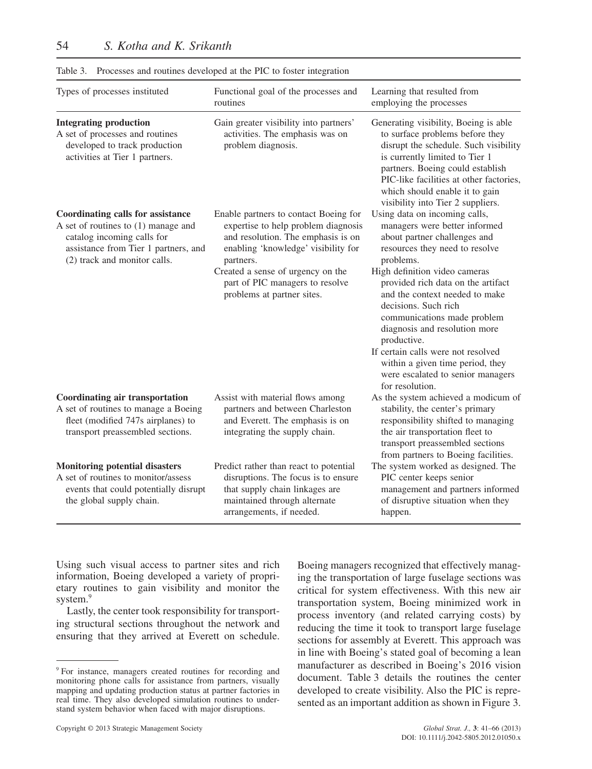| Types of processes instituted                                                                                                                                                         | Functional goal of the processes and<br>routines                                                                                                                            | Learning that resulted from<br>employing the processes                                                                                                                                                                                                                                                    |  |  |  |
|---------------------------------------------------------------------------------------------------------------------------------------------------------------------------------------|-----------------------------------------------------------------------------------------------------------------------------------------------------------------------------|-----------------------------------------------------------------------------------------------------------------------------------------------------------------------------------------------------------------------------------------------------------------------------------------------------------|--|--|--|
| <b>Integrating production</b><br>A set of processes and routines<br>developed to track production<br>activities at Tier 1 partners.                                                   | Gain greater visibility into partners'<br>activities. The emphasis was on<br>problem diagnosis.                                                                             | Generating visibility, Boeing is able<br>to surface problems before they<br>disrupt the schedule. Such visibility<br>is currently limited to Tier 1<br>partners. Boeing could establish<br>PIC-like facilities at other factories,<br>which should enable it to gain<br>visibility into Tier 2 suppliers. |  |  |  |
| <b>Coordinating calls for assistance</b><br>A set of routines to (1) manage and<br>catalog incoming calls for<br>assistance from Tier 1 partners, and<br>(2) track and monitor calls. | Enable partners to contact Boeing for<br>expertise to help problem diagnosis<br>and resolution. The emphasis is on<br>enabling 'knowledge' visibility for<br>partners.      | Using data on incoming calls,<br>managers were better informed<br>about partner challenges and<br>resources they need to resolve<br>problems.                                                                                                                                                             |  |  |  |
|                                                                                                                                                                                       | Created a sense of urgency on the<br>part of PIC managers to resolve<br>problems at partner sites.                                                                          | High definition video cameras<br>provided rich data on the artifact<br>and the context needed to make<br>decisions. Such rich<br>communications made problem<br>diagnosis and resolution more<br>productive.                                                                                              |  |  |  |
|                                                                                                                                                                                       |                                                                                                                                                                             | If certain calls were not resolved<br>within a given time period, they<br>were escalated to senior managers<br>for resolution.                                                                                                                                                                            |  |  |  |
| <b>Coordinating air transportation</b><br>A set of routines to manage a Boeing<br>fleet (modified 747s airplanes) to<br>transport preassembled sections.                              | Assist with material flows among<br>partners and between Charleston<br>and Everett. The emphasis is on<br>integrating the supply chain.                                     | As the system achieved a modicum of<br>stability, the center's primary<br>responsibility shifted to managing<br>the air transportation fleet to<br>transport preassembled sections<br>from partners to Boeing facilities.                                                                                 |  |  |  |
| <b>Monitoring potential disasters</b><br>A set of routines to monitor/assess<br>events that could potentially disrupt<br>the global supply chain.                                     | Predict rather than react to potential<br>disruptions. The focus is to ensure<br>that supply chain linkages are<br>maintained through alternate<br>arrangements, if needed. | The system worked as designed. The<br>PIC center keeps senior<br>management and partners informed<br>of disruptive situation when they<br>happen.                                                                                                                                                         |  |  |  |

Table 3. Processes and routines developed at the PIC to foster integration

Using such visual access to partner sites and rich information, Boeing developed a variety of proprietary routines to gain visibility and monitor the system.<sup>9</sup>

Lastly, the center took responsibility for transporting structural sections throughout the network and ensuring that they arrived at Everett on schedule.

Boeing managers recognized that effectively managing the transportation of large fuselage sections was critical for system effectiveness. With this new air transportation system, Boeing minimized work in process inventory (and related carrying costs) by reducing the time it took to transport large fuselage sections for assembly at Everett. This approach was in line with Boeing's stated goal of becoming a lean manufacturer as described in Boeing's 2016 vision document. Table 3 details the routines the center developed to create visibility. Also the PIC is represented as an important addition as shown in Figure 3.

<sup>9</sup> For instance, managers created routines for recording and monitoring phone calls for assistance from partners, visually mapping and updating production status at partner factories in real time. They also developed simulation routines to understand system behavior when faced with major disruptions.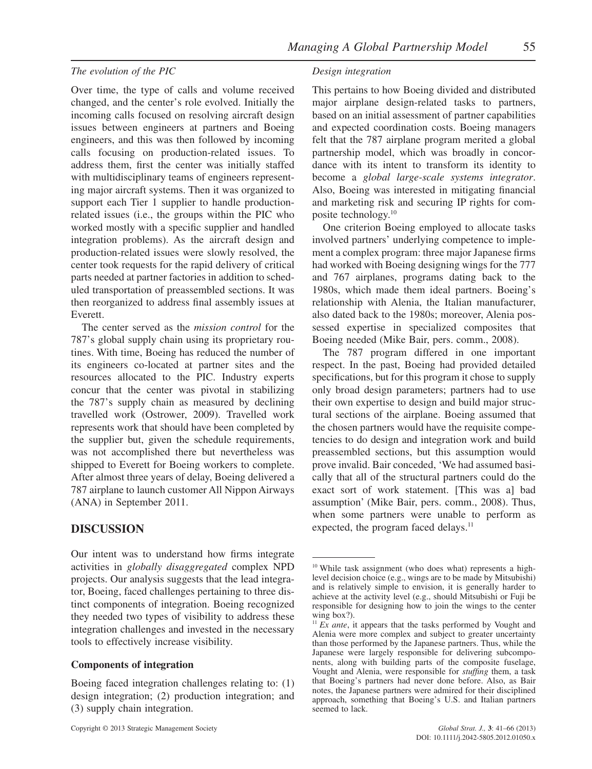## *The evolution of the PIC*

Over time, the type of calls and volume received changed, and the center's role evolved. Initially the incoming calls focused on resolving aircraft design issues between engineers at partners and Boeing engineers, and this was then followed by incoming calls focusing on production-related issues. To address them, first the center was initially staffed with multidisciplinary teams of engineers representing major aircraft systems. Then it was organized to support each Tier 1 supplier to handle productionrelated issues (i.e., the groups within the PIC who worked mostly with a specific supplier and handled integration problems). As the aircraft design and production-related issues were slowly resolved, the center took requests for the rapid delivery of critical parts needed at partner factories in addition to scheduled transportation of preassembled sections. It was then reorganized to address final assembly issues at Everett.

The center served as the *mission control* for the 787's global supply chain using its proprietary routines. With time, Boeing has reduced the number of its engineers co-located at partner sites and the resources allocated to the PIC. Industry experts concur that the center was pivotal in stabilizing the 787's supply chain as measured by declining travelled work (Ostrower, 2009). Travelled work represents work that should have been completed by the supplier but, given the schedule requirements, was not accomplished there but nevertheless was shipped to Everett for Boeing workers to complete. After almost three years of delay, Boeing delivered a 787 airplane to launch customer All Nippon Airways (ANA) in September 2011.

## **DISCUSSION**

Our intent was to understand how firms integrate activities in *globally disaggregated* complex NPD projects. Our analysis suggests that the lead integrator, Boeing, faced challenges pertaining to three distinct components of integration. Boeing recognized they needed two types of visibility to address these integration challenges and invested in the necessary tools to effectively increase visibility.

## **Components of integration**

#### *Design integration*

This pertains to how Boeing divided and distributed major airplane design-related tasks to partners, based on an initial assessment of partner capabilities and expected coordination costs. Boeing managers felt that the 787 airplane program merited a global partnership model, which was broadly in concordance with its intent to transform its identity to become a *global large-scale systems integrator*. Also, Boeing was interested in mitigating financial and marketing risk and securing IP rights for composite technology.10

One criterion Boeing employed to allocate tasks involved partners' underlying competence to implement a complex program: three major Japanese firms had worked with Boeing designing wings for the 777 and 767 airplanes, programs dating back to the 1980s, which made them ideal partners. Boeing's relationship with Alenia, the Italian manufacturer, also dated back to the 1980s; moreover, Alenia possessed expertise in specialized composites that Boeing needed (Mike Bair, pers. comm., 2008).

The 787 program differed in one important respect. In the past, Boeing had provided detailed specifications, but for this program it chose to supply only broad design parameters; partners had to use their own expertise to design and build major structural sections of the airplane. Boeing assumed that the chosen partners would have the requisite competencies to do design and integration work and build preassembled sections, but this assumption would prove invalid. Bair conceded, 'We had assumed basically that all of the structural partners could do the exact sort of work statement. [This was a] bad assumption' (Mike Bair, pers. comm., 2008). Thus, when some partners were unable to perform as expected, the program faced delays.<sup>11</sup>

Boeing faced integration challenges relating to: (1) design integration; (2) production integration; and (3) supply chain integration.

<sup>&</sup>lt;sup>10</sup> While task assignment (who does what) represents a highlevel decision choice (e.g., wings are to be made by Mitsubishi) and is relatively simple to envision, it is generally harder to achieve at the activity level (e.g., should Mitsubishi or Fuji be responsible for designing how to join the wings to the center wing box?).

<sup>&</sup>lt;sup>11</sup> *Ex ante*, it appears that the tasks performed by Vought and Alenia were more complex and subject to greater uncertainty than those performed by the Japanese partners. Thus, while the Japanese were largely responsible for delivering subcomponents, along with building parts of the composite fuselage, Vought and Alenia, were responsible for *stuffing* them, a task that Boeing's partners had never done before. Also, as Bair notes, the Japanese partners were admired for their disciplined approach, something that Boeing's U.S. and Italian partners seemed to lack.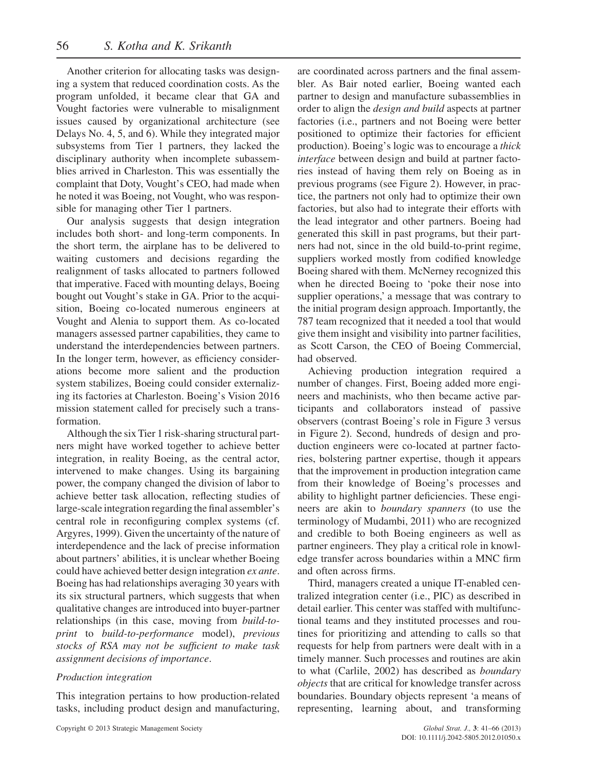Another criterion for allocating tasks was designing a system that reduced coordination costs. As the program unfolded, it became clear that GA and Vought factories were vulnerable to misalignment issues caused by organizational architecture (see Delays No. 4, 5, and 6). While they integrated major subsystems from Tier 1 partners, they lacked the disciplinary authority when incomplete subassemblies arrived in Charleston. This was essentially the complaint that Doty, Vought's CEO, had made when he noted it was Boeing, not Vought, who was responsible for managing other Tier 1 partners.

Our analysis suggests that design integration includes both short- and long-term components. In the short term, the airplane has to be delivered to waiting customers and decisions regarding the realignment of tasks allocated to partners followed that imperative. Faced with mounting delays, Boeing bought out Vought's stake in GA. Prior to the acquisition, Boeing co-located numerous engineers at Vought and Alenia to support them. As co-located managers assessed partner capabilities, they came to understand the interdependencies between partners. In the longer term, however, as efficiency considerations become more salient and the production system stabilizes, Boeing could consider externalizing its factories at Charleston. Boeing's Vision 2016 mission statement called for precisely such a transformation.

Although the six Tier 1 risk-sharing structural partners might have worked together to achieve better integration, in reality Boeing, as the central actor, intervened to make changes. Using its bargaining power, the company changed the division of labor to achieve better task allocation, reflecting studies of large-scale integration regarding the final assembler's central role in reconfiguring complex systems (cf. Argyres, 1999). Given the uncertainty of the nature of interdependence and the lack of precise information about partners' abilities, it is unclear whether Boeing could have achieved better design integration *ex ante*. Boeing has had relationships averaging 30 years with its six structural partners, which suggests that when qualitative changes are introduced into buyer-partner relationships (in this case, moving from *build-toprint* to *build-to-performance* model), *previous stocks of RSA may not be sufficient to make task assignment decisions of importance*.

## *Production integration*

This integration pertains to how production-related tasks, including product design and manufacturing,

are coordinated across partners and the final assembler. As Bair noted earlier, Boeing wanted each partner to design and manufacture subassemblies in order to align the *design and build* aspects at partner factories (i.e., partners and not Boeing were better positioned to optimize their factories for efficient production). Boeing's logic was to encourage a *thick interface* between design and build at partner factories instead of having them rely on Boeing as in previous programs (see Figure 2). However, in practice, the partners not only had to optimize their own factories, but also had to integrate their efforts with the lead integrator and other partners. Boeing had generated this skill in past programs, but their partners had not, since in the old build-to-print regime, suppliers worked mostly from codified knowledge Boeing shared with them. McNerney recognized this when he directed Boeing to 'poke their nose into supplier operations,' a message that was contrary to the initial program design approach. Importantly, the 787 team recognized that it needed a tool that would give them insight and visibility into partner facilities, as Scott Carson, the CEO of Boeing Commercial, had observed.

Achieving production integration required a number of changes. First, Boeing added more engineers and machinists, who then became active participants and collaborators instead of passive observers (contrast Boeing's role in Figure 3 versus in Figure 2). Second, hundreds of design and production engineers were co-located at partner factories, bolstering partner expertise, though it appears that the improvement in production integration came from their knowledge of Boeing's processes and ability to highlight partner deficiencies. These engineers are akin to *boundary spanners* (to use the terminology of Mudambi, 2011) who are recognized and credible to both Boeing engineers as well as partner engineers. They play a critical role in knowledge transfer across boundaries within a MNC firm and often across firms.

Third, managers created a unique IT-enabled centralized integration center (i.e., PIC) as described in detail earlier. This center was staffed with multifunctional teams and they instituted processes and routines for prioritizing and attending to calls so that requests for help from partners were dealt with in a timely manner. Such processes and routines are akin to what (Carlile, 2002) has described as *boundary objects* that are critical for knowledge transfer across boundaries. Boundary objects represent 'a means of representing, learning about, and transforming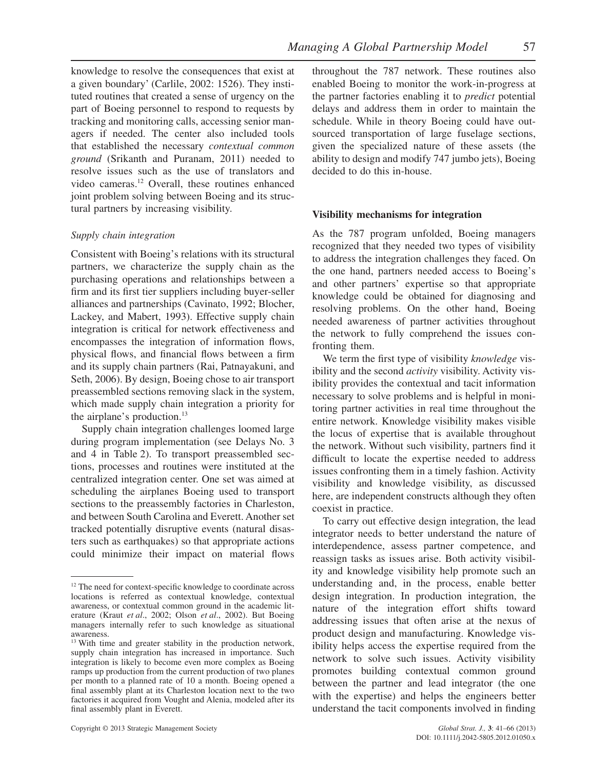knowledge to resolve the consequences that exist at a given boundary' (Carlile, 2002: 1526). They instituted routines that created a sense of urgency on the part of Boeing personnel to respond to requests by tracking and monitoring calls, accessing senior managers if needed. The center also included tools that established the necessary *contextual common ground* (Srikanth and Puranam, 2011) needed to resolve issues such as the use of translators and video cameras.12 Overall, these routines enhanced joint problem solving between Boeing and its structural partners by increasing visibility.

## *Supply chain integration*

Consistent with Boeing's relations with its structural partners, we characterize the supply chain as the purchasing operations and relationships between a firm and its first tier suppliers including buyer-seller alliances and partnerships (Cavinato, 1992; Blocher, Lackey, and Mabert, 1993). Effective supply chain integration is critical for network effectiveness and encompasses the integration of information flows, physical flows, and financial flows between a firm and its supply chain partners (Rai, Patnayakuni, and Seth, 2006). By design, Boeing chose to air transport preassembled sections removing slack in the system, which made supply chain integration a priority for the airplane's production.<sup>13</sup>

Supply chain integration challenges loomed large during program implementation (see Delays No. 3 and 4 in Table 2). To transport preassembled sections, processes and routines were instituted at the centralized integration center. One set was aimed at scheduling the airplanes Boeing used to transport sections to the preassembly factories in Charleston, and between South Carolina and Everett. Another set tracked potentially disruptive events (natural disasters such as earthquakes) so that appropriate actions could minimize their impact on material flows throughout the 787 network. These routines also enabled Boeing to monitor the work-in-progress at the partner factories enabling it to *predict* potential delays and address them in order to maintain the schedule. While in theory Boeing could have outsourced transportation of large fuselage sections, given the specialized nature of these assets (the ability to design and modify 747 jumbo jets), Boeing decided to do this in-house.

## **Visibility mechanisms for integration**

As the 787 program unfolded, Boeing managers recognized that they needed two types of visibility to address the integration challenges they faced. On the one hand, partners needed access to Boeing's and other partners' expertise so that appropriate knowledge could be obtained for diagnosing and resolving problems. On the other hand, Boeing needed awareness of partner activities throughout the network to fully comprehend the issues confronting them.

We term the first type of visibility *knowledge* visibility and the second *activity* visibility. Activity visibility provides the contextual and tacit information necessary to solve problems and is helpful in monitoring partner activities in real time throughout the entire network. Knowledge visibility makes visible the locus of expertise that is available throughout the network. Without such visibility, partners find it difficult to locate the expertise needed to address issues confronting them in a timely fashion. Activity visibility and knowledge visibility, as discussed here, are independent constructs although they often coexist in practice.

To carry out effective design integration, the lead integrator needs to better understand the nature of interdependence, assess partner competence, and reassign tasks as issues arise. Both activity visibility and knowledge visibility help promote such an understanding and, in the process, enable better design integration. In production integration, the nature of the integration effort shifts toward addressing issues that often arise at the nexus of product design and manufacturing. Knowledge visibility helps access the expertise required from the network to solve such issues. Activity visibility promotes building contextual common ground between the partner and lead integrator (the one with the expertise) and helps the engineers better understand the tacit components involved in finding

<sup>&</sup>lt;sup>12</sup> The need for context-specific knowledge to coordinate across locations is referred as contextual knowledge, contextual awareness, or contextual common ground in the academic literature (Kraut *et al*., 2002; Olson *et al*., 2002). But Boeing managers internally refer to such knowledge as situational awareness.

<sup>&</sup>lt;sup>13</sup> With time and greater stability in the production network, supply chain integration has increased in importance. Such integration is likely to become even more complex as Boeing ramps up production from the current production of two planes per month to a planned rate of 10 a month. Boeing opened a final assembly plant at its Charleston location next to the two factories it acquired from Vought and Alenia, modeled after its final assembly plant in Everett.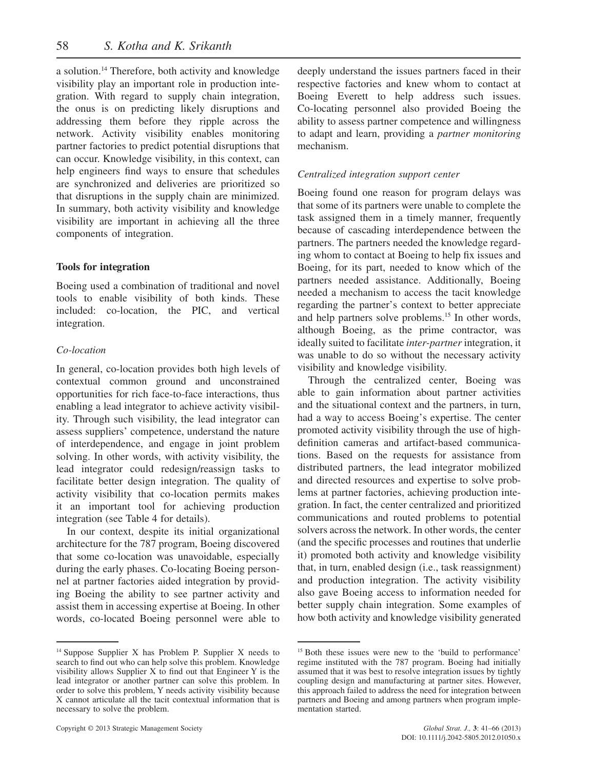a solution.14 Therefore, both activity and knowledge visibility play an important role in production integration. With regard to supply chain integration, the onus is on predicting likely disruptions and addressing them before they ripple across the network. Activity visibility enables monitoring partner factories to predict potential disruptions that can occur. Knowledge visibility, in this context, can help engineers find ways to ensure that schedules are synchronized and deliveries are prioritized so that disruptions in the supply chain are minimized. In summary, both activity visibility and knowledge visibility are important in achieving all the three components of integration.

## **Tools for integration**

Boeing used a combination of traditional and novel tools to enable visibility of both kinds. These included: co-location, the PIC, and vertical integration.

#### *Co-location*

In general, co-location provides both high levels of contextual common ground and unconstrained opportunities for rich face-to-face interactions, thus enabling a lead integrator to achieve activity visibility. Through such visibility, the lead integrator can assess suppliers' competence, understand the nature of interdependence, and engage in joint problem solving. In other words, with activity visibility, the lead integrator could redesign/reassign tasks to facilitate better design integration. The quality of activity visibility that co-location permits makes it an important tool for achieving production integration (see Table 4 for details).

In our context, despite its initial organizational architecture for the 787 program, Boeing discovered that some co-location was unavoidable, especially during the early phases. Co-locating Boeing personnel at partner factories aided integration by providing Boeing the ability to see partner activity and assist them in accessing expertise at Boeing. In other words, co-located Boeing personnel were able to

<sup>14</sup> Suppose Supplier X has Problem P. Supplier X needs to search to find out who can help solve this problem. Knowledge visibility allows Supplier X to find out that Engineer Y is the lead integrator or another partner can solve this problem. In order to solve this problem, Y needs activity visibility because X cannot articulate all the tacit contextual information that is necessary to solve the problem.

deeply understand the issues partners faced in their respective factories and knew whom to contact at Boeing Everett to help address such issues. Co-locating personnel also provided Boeing the ability to assess partner competence and willingness to adapt and learn, providing a *partner monitoring* mechanism.

#### *Centralized integration support center*

Boeing found one reason for program delays was that some of its partners were unable to complete the task assigned them in a timely manner, frequently because of cascading interdependence between the partners. The partners needed the knowledge regarding whom to contact at Boeing to help fix issues and Boeing, for its part, needed to know which of the partners needed assistance. Additionally, Boeing needed a mechanism to access the tacit knowledge regarding the partner's context to better appreciate and help partners solve problems.<sup>15</sup> In other words, although Boeing, as the prime contractor, was ideally suited to facilitate *inter-partner* integration, it was unable to do so without the necessary activity visibility and knowledge visibility.

Through the centralized center, Boeing was able to gain information about partner activities and the situational context and the partners, in turn, had a way to access Boeing's expertise. The center promoted activity visibility through the use of highdefinition cameras and artifact-based communications. Based on the requests for assistance from distributed partners, the lead integrator mobilized and directed resources and expertise to solve problems at partner factories, achieving production integration. In fact, the center centralized and prioritized communications and routed problems to potential solvers across the network. In other words, the center (and the specific processes and routines that underlie it) promoted both activity and knowledge visibility that, in turn, enabled design (i.e., task reassignment) and production integration. The activity visibility also gave Boeing access to information needed for better supply chain integration. Some examples of how both activity and knowledge visibility generated

<sup>&</sup>lt;sup>15</sup> Both these issues were new to the 'build to performance' regime instituted with the 787 program. Boeing had initially assumed that it was best to resolve integration issues by tightly coupling design and manufacturing at partner sites. However, this approach failed to address the need for integration between partners and Boeing and among partners when program implementation started.

Copyright © 2013 Strategic Management Society *Global Strat. J.,* **3**: 41–66 (2013)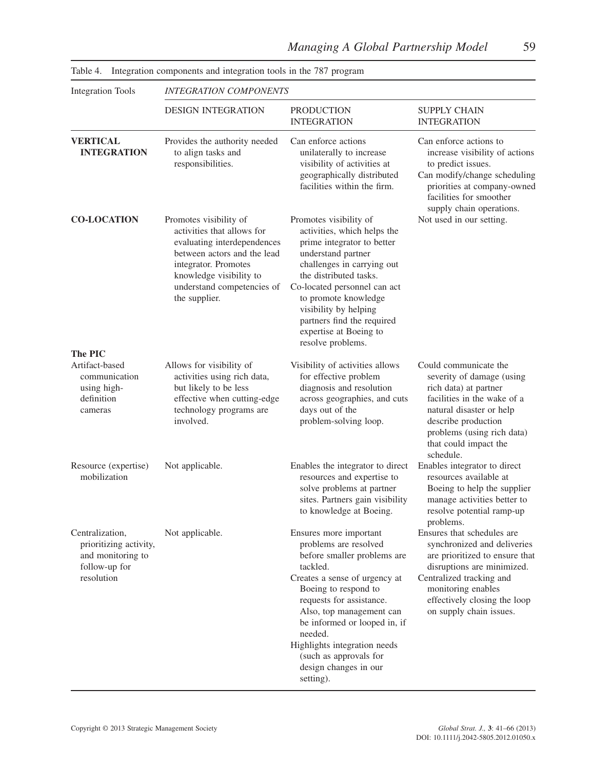| <b>Integration Tools</b>                                                                      | <b>INTEGRATION COMPONENTS</b>                                                                                                                                                                                        |                                                                                                                                                                                                                                                                                                                                                        |                                                                                                                                                                                                                                        |  |  |  |
|-----------------------------------------------------------------------------------------------|----------------------------------------------------------------------------------------------------------------------------------------------------------------------------------------------------------------------|--------------------------------------------------------------------------------------------------------------------------------------------------------------------------------------------------------------------------------------------------------------------------------------------------------------------------------------------------------|----------------------------------------------------------------------------------------------------------------------------------------------------------------------------------------------------------------------------------------|--|--|--|
|                                                                                               | <b>DESIGN INTEGRATION</b>                                                                                                                                                                                            | <b>PRODUCTION</b><br><b>INTEGRATION</b>                                                                                                                                                                                                                                                                                                                | <b>SUPPLY CHAIN</b><br><b>INTEGRATION</b>                                                                                                                                                                                              |  |  |  |
| <b>VERTICAL</b><br><b>INTEGRATION</b>                                                         | Provides the authority needed<br>to align tasks and<br>responsibilities.                                                                                                                                             | Can enforce actions<br>unilaterally to increase<br>visibility of activities at<br>geographically distributed<br>facilities within the firm.                                                                                                                                                                                                            | Can enforce actions to<br>increase visibility of actions<br>to predict issues.<br>Can modify/change scheduling<br>priorities at company-owned<br>facilities for smoother<br>supply chain operations.                                   |  |  |  |
| <b>CO-LOCATION</b>                                                                            | Promotes visibility of<br>activities that allows for<br>evaluating interdependences<br>between actors and the lead<br>integrator. Promotes<br>knowledge visibility to<br>understand competencies of<br>the supplier. | Promotes visibility of<br>activities, which helps the<br>prime integrator to better<br>understand partner<br>challenges in carrying out<br>the distributed tasks.<br>Co-located personnel can act<br>to promote knowledge<br>visibility by helping<br>partners find the required<br>expertise at Boeing to<br>resolve problems.                        | Not used in our setting.                                                                                                                                                                                                               |  |  |  |
| The PIC                                                                                       |                                                                                                                                                                                                                      |                                                                                                                                                                                                                                                                                                                                                        |                                                                                                                                                                                                                                        |  |  |  |
| Artifact-based<br>communication<br>using high-<br>definition<br>cameras                       | Allows for visibility of<br>activities using rich data,<br>but likely to be less<br>effective when cutting-edge<br>technology programs are<br>involved.                                                              | Visibility of activities allows<br>for effective problem<br>diagnosis and resolution<br>across geographies, and cuts<br>days out of the<br>problem-solving loop.                                                                                                                                                                                       | Could communicate the<br>severity of damage (using<br>rich data) at partner<br>facilities in the wake of a<br>natural disaster or help<br>describe production<br>problems (using rich data)<br>that could impact the<br>schedule.      |  |  |  |
| Resource (expertise)<br>mobilization                                                          | Not applicable.                                                                                                                                                                                                      | Enables the integrator to direct<br>resources and expertise to<br>solve problems at partner<br>sites. Partners gain visibility<br>to knowledge at Boeing.                                                                                                                                                                                              | Enables integrator to direct<br>resources available at<br>Boeing to help the supplier<br>manage activities better to<br>resolve potential ramp-up<br>problems.                                                                         |  |  |  |
| Centralization,<br>prioritizing activity,<br>and monitoring to<br>follow-up for<br>resolution | Not applicable.                                                                                                                                                                                                      | Ensures more important<br>problems are resolved<br>before smaller problems are<br>tackled.<br>Creates a sense of urgency at<br>Boeing to respond to<br>requests for assistance.<br>Also, top management can<br>be informed or looped in, if<br>needed.<br>Highlights integration needs<br>(such as approvals for<br>design changes in our<br>setting). | Ensures that schedules are<br>synchronized and deliveries<br>are prioritized to ensure that<br>disruptions are minimized.<br>Centralized tracking and<br>monitoring enables<br>effectively closing the loop<br>on supply chain issues. |  |  |  |

| Table 4. | Integration components and integration tools in the 787 program |  |  |  |  |
|----------|-----------------------------------------------------------------|--|--|--|--|
|          |                                                                 |  |  |  |  |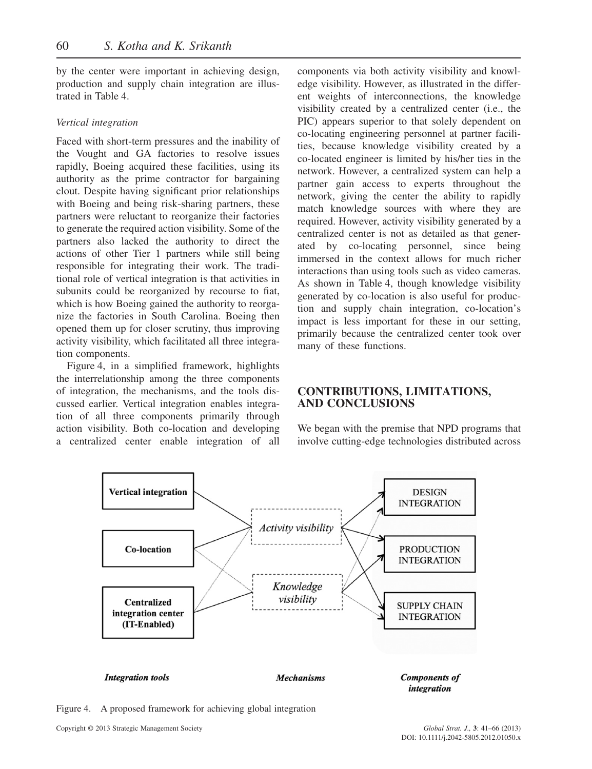by the center were important in achieving design, production and supply chain integration are illustrated in Table 4.

## *Vertical integration*

Faced with short-term pressures and the inability of the Vought and GA factories to resolve issues rapidly, Boeing acquired these facilities, using its authority as the prime contractor for bargaining clout. Despite having significant prior relationships with Boeing and being risk-sharing partners, these partners were reluctant to reorganize their factories to generate the required action visibility. Some of the partners also lacked the authority to direct the actions of other Tier 1 partners while still being responsible for integrating their work. The traditional role of vertical integration is that activities in subunits could be reorganized by recourse to fiat, which is how Boeing gained the authority to reorganize the factories in South Carolina. Boeing then opened them up for closer scrutiny, thus improving activity visibility, which facilitated all three integration components.

Figure 4, in a simplified framework, highlights the interrelationship among the three components of integration, the mechanisms, and the tools discussed earlier. Vertical integration enables integration of all three components primarily through action visibility. Both co-location and developing a centralized center enable integration of all

components via both activity visibility and knowledge visibility. However, as illustrated in the different weights of interconnections, the knowledge visibility created by a centralized center (i.e., the PIC) appears superior to that solely dependent on co-locating engineering personnel at partner facilities, because knowledge visibility created by a co-located engineer is limited by his/her ties in the network. However, a centralized system can help a partner gain access to experts throughout the network, giving the center the ability to rapidly match knowledge sources with where they are required. However, activity visibility generated by a centralized center is not as detailed as that generated by co-locating personnel, since being immersed in the context allows for much richer interactions than using tools such as video cameras. As shown in Table 4, though knowledge visibility generated by co-location is also useful for production and supply chain integration, co-location's impact is less important for these in our setting, primarily because the centralized center took over many of these functions.

## **CONTRIBUTIONS, LIMITATIONS, AND CONCLUSIONS**

We began with the premise that NPD programs that involve cutting-edge technologies distributed across



Figure 4. A proposed framework for achieving global integration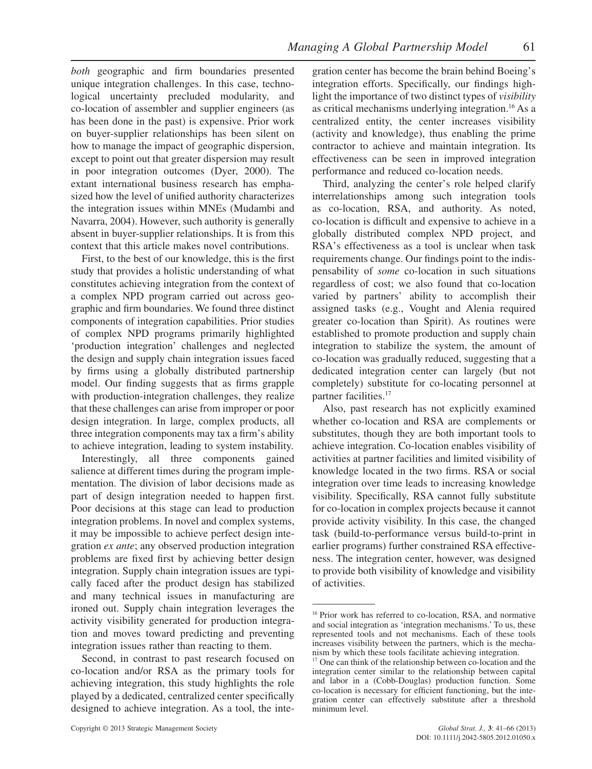*both* geographic and firm boundaries presented unique integration challenges. In this case, technological uncertainty precluded modularity, and co-location of assembler and supplier engineers (as has been done in the past) is expensive. Prior work on buyer-supplier relationships has been silent on how to manage the impact of geographic dispersion, except to point out that greater dispersion may result in poor integration outcomes (Dyer, 2000). The extant international business research has emphasized how the level of unified authority characterizes the integration issues within MNEs (Mudambi and Navarra, 2004). However, such authority is generally absent in buyer-supplier relationships. It is from this context that this article makes novel contributions.

First, to the best of our knowledge, this is the first study that provides a holistic understanding of what constitutes achieving integration from the context of a complex NPD program carried out across geographic and firm boundaries. We found three distinct components of integration capabilities. Prior studies of complex NPD programs primarily highlighted 'production integration' challenges and neglected the design and supply chain integration issues faced by firms using a globally distributed partnership model. Our finding suggests that as firms grapple with production-integration challenges, they realize that these challenges can arise from improper or poor design integration. In large, complex products, all three integration components may tax a firm's ability to achieve integration, leading to system instability.

Interestingly, all three components gained salience at different times during the program implementation. The division of labor decisions made as part of design integration needed to happen first. Poor decisions at this stage can lead to production integration problems. In novel and complex systems, it may be impossible to achieve perfect design integration *ex ante*; any observed production integration problems are fixed first by achieving better design integration. Supply chain integration issues are typically faced after the product design has stabilized and many technical issues in manufacturing are ironed out. Supply chain integration leverages the activity visibility generated for production integration and moves toward predicting and preventing integration issues rather than reacting to them.

Second, in contrast to past research focused on co-location and/or RSA as the primary tools for achieving integration, this study highlights the role played by a dedicated, centralized center specifically designed to achieve integration. As a tool, the inte-

gration center has become the brain behind Boeing's integration efforts. Specifically, our findings highlight the importance of two distinct types of *visibility* as critical mechanisms underlying integration.16 As a centralized entity, the center increases visibility (activity and knowledge), thus enabling the prime contractor to achieve and maintain integration. Its effectiveness can be seen in improved integration performance and reduced co-location needs.

Third, analyzing the center's role helped clarify interrelationships among such integration tools as co-location, RSA, and authority. As noted, co-location is difficult and expensive to achieve in a globally distributed complex NPD project, and RSA's effectiveness as a tool is unclear when task requirements change. Our findings point to the indispensability of *some* co-location in such situations regardless of cost; we also found that co-location varied by partners' ability to accomplish their assigned tasks (e.g., Vought and Alenia required greater co-location than Spirit). As routines were established to promote production and supply chain integration to stabilize the system, the amount of co-location was gradually reduced, suggesting that a dedicated integration center can largely (but not completely) substitute for co-locating personnel at partner facilities.<sup>17</sup>

Also, past research has not explicitly examined whether co-location and RSA are complements or substitutes, though they are both important tools to achieve integration. Co-location enables visibility of activities at partner facilities and limited visibility of knowledge located in the two firms. RSA or social integration over time leads to increasing knowledge visibility. Specifically, RSA cannot fully substitute for co-location in complex projects because it cannot provide activity visibility. In this case, the changed task (build-to-performance versus build-to-print in earlier programs) further constrained RSA effectiveness. The integration center, however, was designed to provide both visibility of knowledge and visibility of activities.

<sup>16</sup> Prior work has referred to co-location, RSA, and normative and social integration as 'integration mechanisms.' To us, these represented tools and not mechanisms. Each of these tools increases visibility between the partners, which is the mechanism by which these tools facilitate achieving integration.

<sup>&</sup>lt;sup>17</sup> One can think of the relationship between co-location and the integration center similar to the relationship between capital and labor in a (Cobb-Douglas) production function. Some co-location is necessary for efficient functioning, but the integration center can effectively substitute after a threshold minimum level.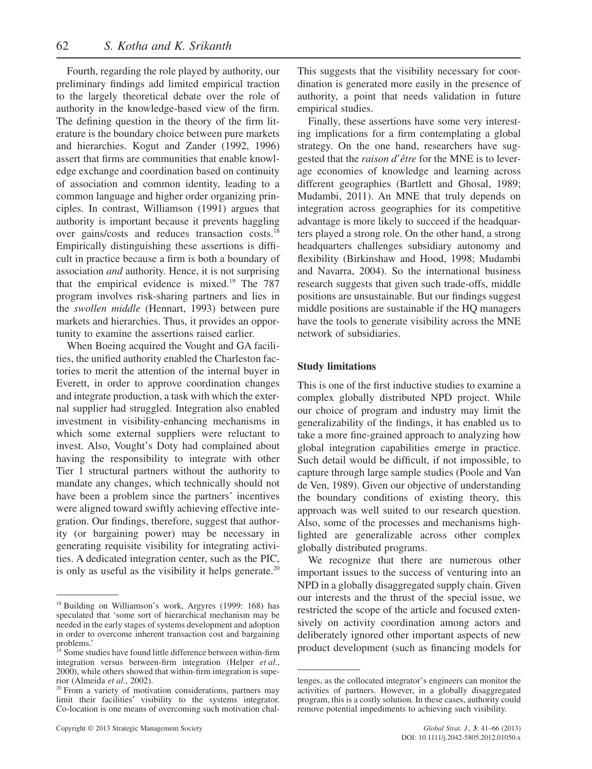Fourth, regarding the role played by authority, our preliminary findings add limited empirical traction to the largely theoretical debate over the role of authority in the knowledge-based view of the firm. The defining question in the theory of the firm literature is the boundary choice between pure markets and hierarchies. Kogut and Zander (1992, 1996) assert that firms are communities that enable knowledge exchange and coordination based on continuity of association and common identity, leading to a common language and higher order organizing principles. In contrast, Williamson (1991) argues that authority is important because it prevents haggling over gains/costs and reduces transaction costs.18 Empirically distinguishing these assertions is difficult in practice because a firm is both a boundary of association *and* authority. Hence, it is not surprising that the empirical evidence is mixed.19 The 787 program involves risk-sharing partners and lies in the *swollen middle* (Hennart, 1993) between pure markets and hierarchies. Thus, it provides an opportunity to examine the assertions raised earlier.

When Boeing acquired the Vought and GA facilities, the unified authority enabled the Charleston factories to merit the attention of the internal buyer in Everett, in order to approve coordination changes and integrate production, a task with which the external supplier had struggled. Integration also enabled investment in visibility-enhancing mechanisms in which some external suppliers were reluctant to invest. Also, Vought's Doty had complained about having the responsibility to integrate with other Tier 1 structural partners without the authority to mandate any changes, which technically should not have been a problem since the partners' incentives were aligned toward swiftly achieving effective integration. Our findings, therefore, suggest that authority (or bargaining power) may be necessary in generating requisite visibility for integrating activities. A dedicated integration center, such as the PIC, is only as useful as the visibility it helps generate.<sup>20</sup>

This suggests that the visibility necessary for coordination is generated more easily in the presence of authority, a point that needs validation in future empirical studies.

Finally, these assertions have some very interesting implications for a firm contemplating a global strategy. On the one hand, researchers have suggested that the *raison d'être* for the MNE is to leverage economies of knowledge and learning across different geographies (Bartlett and Ghosal, 1989; Mudambi, 2011). An MNE that truly depends on integration across geographies for its competitive advantage is more likely to succeed if the headquarters played a strong role. On the other hand, a strong headquarters challenges subsidiary autonomy and flexibility (Birkinshaw and Hood, 1998; Mudambi and Navarra, 2004). So the international business research suggests that given such trade-offs, middle positions are unsustainable. But our findings suggest middle positions are sustainable if the HQ managers have the tools to generate visibility across the MNE network of subsidiaries.

#### **Study limitations**

This is one of the first inductive studies to examine a complex globally distributed NPD project. While our choice of program and industry may limit the generalizability of the findings, it has enabled us to take a more fine-grained approach to analyzing how global integration capabilities emerge in practice. Such detail would be difficult, if not impossible, to capture through large sample studies (Poole and Van de Ven, 1989). Given our objective of understanding the boundary conditions of existing theory, this approach was well suited to our research question. Also, some of the processes and mechanisms highlighted are generalizable across other complex globally distributed programs.

We recognize that there are numerous other important issues to the success of venturing into an NPD in a globally disaggregated supply chain. Given our interests and the thrust of the special issue, we restricted the scope of the article and focused extensively on activity coordination among actors and deliberately ignored other important aspects of new product development (such as financing models for

<sup>18</sup> Building on Williamson's work, Argyres (1999: 168) has speculated that 'some sort of hierarchical mechanism may be needed in the early stages of systems development and adoption in order to overcome inherent transaction cost and bargaining problems.'

<sup>&</sup>lt;sup>19</sup> Some studies have found little difference between within-firm integration versus between-firm integration (Helper *et al*., 2000), while others showed that within-firm integration is superior (Almeida *et al.*, 2002).

<sup>&</sup>lt;sup>20</sup> From a variety of motivation considerations, partners may limit their facilities′ visibility to the systems integrator. Co-location is one means of overcoming such motivation chal-

lenges, as the collocated integrator's engineers can monitor the activities of partners. However, in a globally disaggregated program, this is a costly solution. In these cases, authority could remove potential impediments to achieving such visibility.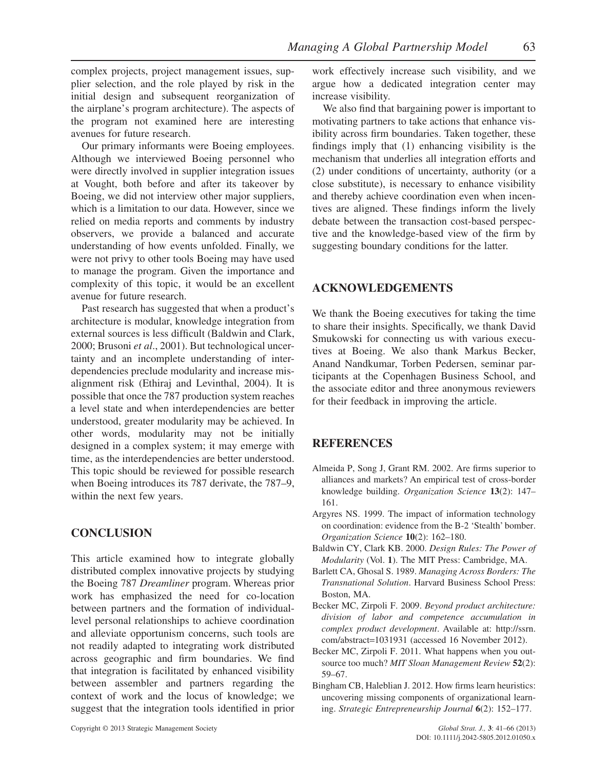complex projects, project management issues, supplier selection, and the role played by risk in the initial design and subsequent reorganization of the airplane's program architecture). The aspects of the program not examined here are interesting avenues for future research.

Our primary informants were Boeing employees. Although we interviewed Boeing personnel who were directly involved in supplier integration issues at Vought, both before and after its takeover by Boeing, we did not interview other major suppliers, which is a limitation to our data. However, since we relied on media reports and comments by industry observers, we provide a balanced and accurate understanding of how events unfolded. Finally, we were not privy to other tools Boeing may have used to manage the program. Given the importance and complexity of this topic, it would be an excellent avenue for future research.

Past research has suggested that when a product's architecture is modular, knowledge integration from external sources is less difficult (Baldwin and Clark, 2000; Brusoni *et al*., 2001). But technological uncertainty and an incomplete understanding of interdependencies preclude modularity and increase misalignment risk (Ethiraj and Levinthal, 2004). It is possible that once the 787 production system reaches a level state and when interdependencies are better understood, greater modularity may be achieved. In other words, modularity may not be initially designed in a complex system; it may emerge with time, as the interdependencies are better understood. This topic should be reviewed for possible research when Boeing introduces its 787 derivate, the 787–9, within the next few years.

# **CONCLUSION**

This article examined how to integrate globally distributed complex innovative projects by studying the Boeing 787 *Dreamliner* program. Whereas prior work has emphasized the need for co-location between partners and the formation of individuallevel personal relationships to achieve coordination and alleviate opportunism concerns, such tools are not readily adapted to integrating work distributed across geographic and firm boundaries. We find that integration is facilitated by enhanced visibility between assembler and partners regarding the context of work and the locus of knowledge; we suggest that the integration tools identified in prior

work effectively increase such visibility, and we argue how a dedicated integration center may increase visibility.

We also find that bargaining power is important to motivating partners to take actions that enhance visibility across firm boundaries. Taken together, these findings imply that (1) enhancing visibility is the mechanism that underlies all integration efforts and (2) under conditions of uncertainty, authority (or a close substitute), is necessary to enhance visibility and thereby achieve coordination even when incentives are aligned. These findings inform the lively debate between the transaction cost-based perspective and the knowledge-based view of the firm by suggesting boundary conditions for the latter.

## **ACKNOWLEDGEMENTS**

We thank the Boeing executives for taking the time to share their insights. Specifically, we thank David Smukowski for connecting us with various executives at Boeing. We also thank Markus Becker, Anand Nandkumar, Torben Pedersen, seminar participants at the Copenhagen Business School, and the associate editor and three anonymous reviewers for their feedback in improving the article.

## **REFERENCES**

- Almeida P, Song J, Grant RM. 2002. Are firms superior to alliances and markets? An empirical test of cross-border knowledge building. *Organization Science* **13**(2): 147– 161.
- Argyres NS. 1999. The impact of information technology on coordination: evidence from the B-2 'Stealth' bomber. *Organization Science* **10**(2): 162–180.
- Baldwin CY, Clark KB. 2000. *Design Rules: The Power of Modularity* (Vol. **1**). The MIT Press: Cambridge, MA.
- Barlett CA, Ghosal S. 1989. *Managing Across Borders: The Transnational Solution*. Harvard Business School Press: Boston, MA.
- Becker MC, Zirpoli F. 2009. *Beyond product architecture: division of labor and competence accumulation in complex product development*. Available at: http://ssrn. com/abstract=1031931 (accessed 16 November 2012).
- Becker MC, Zirpoli F. 2011. What happens when you outsource too much? *MIT Sloan Management Review* **52**(2): 59–67.
- Bingham CB, Haleblian J. 2012. How firms learn heuristics: uncovering missing components of organizational learning. *Strategic Entrepreneurship Journal* **6**(2): 152–177.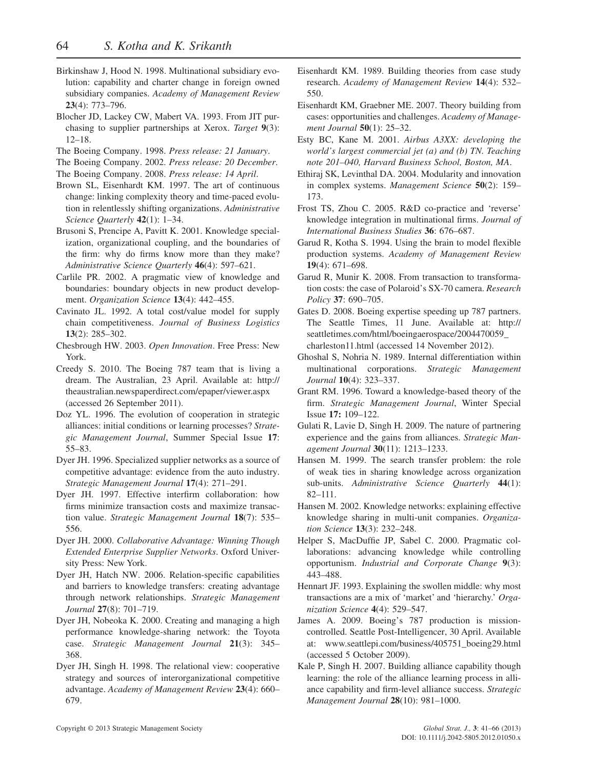- Birkinshaw J, Hood N. 1998. Multinational subsidiary evolution: capability and charter change in foreign owned subsidiary companies. *Academy of Management Review* **23**(4): 773–796.
- Blocher JD, Lackey CW, Mabert VA. 1993. From JIT purchasing to supplier partnerships at Xerox. *Target* **9**(3): 12–18.
- The Boeing Company. 1998. *Press release: 21 January*.
- The Boeing Company. 2002. *Press release: 20 December*.
- The Boeing Company. 2008. *Press release: 14 April*.
- Brown SL, Eisenhardt KM. 1997. The art of continuous change: linking complexity theory and time-paced evolution in relentlessly shifting organizations. *Administrative Science Quarterly* **42**(1): 1–34.
- Brusoni S, Prencipe A, Pavitt K. 2001. Knowledge specialization, organizational coupling, and the boundaries of the firm: why do firms know more than they make? *Administrative Science Quarterly* **46**(4): 597–621.
- Carlile PR. 2002. A pragmatic view of knowledge and boundaries: boundary objects in new product development. *Organization Science* **13**(4): 442–455.
- Cavinato JL. 1992. A total cost/value model for supply chain competitiveness. *Journal of Business Logistics* **13**(2): 285–302.
- Chesbrough HW. 2003. *Open Innovation*. Free Press: New York.
- Creedy S. 2010. The Boeing 787 team that is living a dream. The Australian, 23 April. Available at: http:// theaustralian.newspaperdirect.com/epaper/viewer.aspx (accessed 26 September 2011).
- Doz YL. 1996. The evolution of cooperation in strategic alliances: initial conditions or learning processes? *Strategic Management Journal*, Summer Special Issue **17**: 55–83.
- Dyer JH. 1996. Specialized supplier networks as a source of competitive advantage: evidence from the auto industry. *Strategic Management Journal* **17**(4): 271–291.
- Dyer JH. 1997. Effective interfirm collaboration: how firms minimize transaction costs and maximize transaction value. *Strategic Management Journal* **18**(7): 535– 556.
- Dyer JH. 2000. *Collaborative Advantage: Winning Though Extended Enterprise Supplier Networks*. Oxford University Press: New York.
- Dyer JH, Hatch NW. 2006. Relation-specific capabilities and barriers to knowledge transfers: creating advantage through network relationships. *Strategic Management Journal* **27**(8): 701–719.
- Dyer JH, Nobeoka K. 2000. Creating and managing a high performance knowledge-sharing network: the Toyota case. *Strategic Management Journal* **21**(3): 345– 368.
- Dyer JH, Singh H. 1998. The relational view: cooperative strategy and sources of interorganizational competitive advantage. *Academy of Management Review* **23**(4): 660– 679.
- Eisenhardt KM. 1989. Building theories from case study research. *Academy of Management Review* **14**(4): 532– 550.
- Eisenhardt KM, Graebner ME. 2007. Theory building from cases: opportunities and challenges. *Academy of Management Journal* **50**(1): 25–32.
- Esty BC, Kane M. 2001. *Airbus A3XX: developing the world's largest commercial jet (a) and (b) TN. Teaching note 201–040, Harvard Business School, Boston, MA*.
- Ethiraj SK, Levinthal DA. 2004. Modularity and innovation in complex systems. *Management Science* **50**(2): 159– 173.
- Frost TS, Zhou C. 2005. R&D co-practice and 'reverse' knowledge integration in multinational firms. *Journal of International Business Studies* **36**: 676–687.
- Garud R, Kotha S. 1994. Using the brain to model flexible production systems. *Academy of Management Review* **19**(4): 671–698.
- Garud R, Munir K. 2008. From transaction to transformation costs: the case of Polaroid's SX-70 camera. *Research Policy* **37**: 690–705.
- Gates D. 2008. Boeing expertise speeding up 787 partners. The Seattle Times, 11 June. Available at: http:// seattletimes.com/html/boeingaerospace/2004470059\_ charleston11.html (accessed 14 November 2012).
- Ghoshal S, Nohria N. 1989. Internal differentiation within multinational corporations. *Strategic Management Journal* **10**(4): 323–337.
- Grant RM. 1996. Toward a knowledge-based theory of the firm. *Strategic Management Journal*, Winter Special Issue **17:** 109–122.
- Gulati R, Lavie D, Singh H. 2009. The nature of partnering experience and the gains from alliances. *Strategic Management Journal* **30**(11): 1213–1233.
- Hansen M. 1999. The search transfer problem: the role of weak ties in sharing knowledge across organization sub-units. *Administrative Science Quarterly* **44**(1): 82–111.
- Hansen M. 2002. Knowledge networks: explaining effective knowledge sharing in multi-unit companies. *Organization Science* **13**(3): 232–248.
- Helper S, MacDuffie JP, Sabel C. 2000. Pragmatic collaborations: advancing knowledge while controlling opportunism. *Industrial and Corporate Change* **9**(3): 443–488.
- Hennart JF. 1993. Explaining the swollen middle: why most transactions are a mix of 'market' and 'hierarchy.' *Organization Science* **4**(4): 529–547.
- James A. 2009. Boeing's 787 production is missioncontrolled. Seattle Post-Intelligencer, 30 April. Available at: www.seattlepi.com/business/405751\_boeing29.html (accessed 5 October 2009).
- Kale P, Singh H. 2007. Building alliance capability though learning: the role of the alliance learning process in alliance capability and firm-level alliance success. *Strategic Management Journal* **28**(10): 981–1000.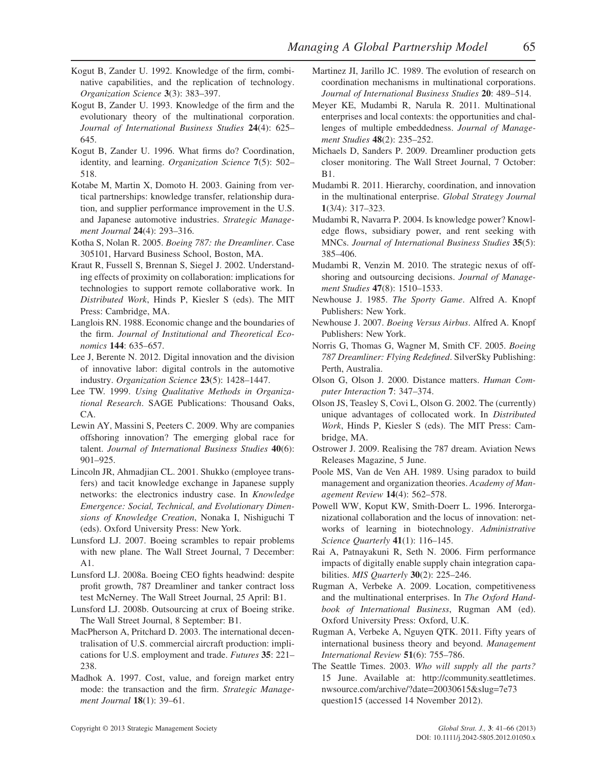- Kogut B, Zander U. 1992. Knowledge of the firm, combinative capabilities, and the replication of technology. *Organization Science* **3**(3): 383–397.
- Kogut B, Zander U. 1993. Knowledge of the firm and the evolutionary theory of the multinational corporation. *Journal of International Business Studies* **24**(4): 625– 645.
- Kogut B, Zander U. 1996. What firms do? Coordination, identity, and learning. *Organization Science* **7**(5): 502– 518.
- Kotabe M, Martin X, Domoto H. 2003. Gaining from vertical partnerships: knowledge transfer, relationship duration, and supplier performance improvement in the U.S. and Japanese automotive industries. *Strategic Management Journal* **24**(4): 293–316.
- Kotha S, Nolan R. 2005. *Boeing 787: the Dreamliner*. Case 305101, Harvard Business School, Boston, MA.
- Kraut R, Fussell S, Brennan S, Siegel J. 2002. Understanding effects of proximity on collaboration: implications for technologies to support remote collaborative work. In *Distributed Work*, Hinds P, Kiesler S (eds). The MIT Press: Cambridge, MA.
- Langlois RN. 1988. Economic change and the boundaries of the firm. *Journal of Institutional and Theoretical Economics* **144**: 635–657.
- Lee J, Berente N. 2012. Digital innovation and the division of innovative labor: digital controls in the automotive industry. *Organization Science* **23**(5): 1428–1447.
- Lee TW. 1999. *Using Qualitative Methods in Organizational Research*. SAGE Publications: Thousand Oaks, CA.
- Lewin AY, Massini S, Peeters C. 2009. Why are companies offshoring innovation? The emerging global race for talent. *Journal of International Business Studies* **40**(6): 901–925.
- Lincoln JR, Ahmadjian CL. 2001. Shukko (employee transfers) and tacit knowledge exchange in Japanese supply networks: the electronics industry case. In *Knowledge Emergence: Social, Technical, and Evolutionary Dimensions of Knowledge Creation*, Nonaka I, Nishiguchi T (eds). Oxford University Press: New York.
- Lunsford LJ. 2007. Boeing scrambles to repair problems with new plane. The Wall Street Journal, 7 December: A1.
- Lunsford LJ. 2008a. Boeing CEO fights headwind: despite profit growth, 787 Dreamliner and tanker contract loss test McNerney. The Wall Street Journal, 25 April: B1.
- Lunsford LJ. 2008b. Outsourcing at crux of Boeing strike. The Wall Street Journal, 8 September: B1.
- MacPherson A, Pritchard D. 2003. The international decentralisation of U.S. commercial aircraft production: implications for U.S. employment and trade. *Futures* **35**: 221– 238.
- Madhok A. 1997. Cost, value, and foreign market entry mode: the transaction and the firm. *Strategic Management Journal* **18**(1): 39–61.
- Martinez JI, Jarillo JC. 1989. The evolution of research on coordination mechanisms in multinational corporations. *Journal of International Business Studies* **20**: 489–514.
- Meyer KE, Mudambi R, Narula R. 2011. Multinational enterprises and local contexts: the opportunities and challenges of multiple embeddedness. *Journal of Management Studies* **48**(2): 235–252.
- Michaels D, Sanders P. 2009. Dreamliner production gets closer monitoring. The Wall Street Journal, 7 October: B1.
- Mudambi R. 2011. Hierarchy, coordination, and innovation in the multinational enterprise. *Global Strategy Journal* **1**(3/4): 317–323.
- Mudambi R, Navarra P. 2004. Is knowledge power? Knowledge flows, subsidiary power, and rent seeking with MNCs. *Journal of International Business Studies* **35**(5): 385–406.
- Mudambi R, Venzin M. 2010. The strategic nexus of offshoring and outsourcing decisions. *Journal of Management Studies* **47**(8): 1510–1533.
- Newhouse J. 1985. *The Sporty Game*. Alfred A. Knopf Publishers: New York.
- Newhouse J. 2007. *Boeing Versus Airbus*. Alfred A. Knopf Publishers: New York.
- Norris G, Thomas G, Wagner M, Smith CF. 2005. *Boeing 787 Dreamliner: Flying Redefined*. SilverSky Publishing: Perth, Australia.
- Olson G, Olson J. 2000. Distance matters. *Human Computer Interaction* **7**: 347–374.
- Olson JS, Teasley S, Covi L, Olson G. 2002. The (currently) unique advantages of collocated work. In *Distributed Work*, Hinds P, Kiesler S (eds). The MIT Press: Cambridge, MA.
- Ostrower J. 2009. Realising the 787 dream. Aviation News Releases Magazine, 5 June.
- Poole MS, Van de Ven AH. 1989. Using paradox to build management and organization theories. *Academy of Management Review* **14**(4): 562–578.
- Powell WW, Koput KW, Smith-Doerr L. 1996. Interorganizational collaboration and the locus of innovation: networks of learning in biotechnology. *Administrative Science Quarterly* **41**(1): 116–145.
- Rai A, Patnayakuni R, Seth N. 2006. Firm performance impacts of digitally enable supply chain integration capabilities. *MIS Quarterly* **30**(2): 225–246.
- Rugman A, Verbeke A. 2009. Location, competitiveness and the multinational enterprises. In *The Oxford Handbook of International Business*, Rugman AM (ed). Oxford University Press: Oxford, U.K.
- Rugman A, Verbeke A, Nguyen QTK. 2011. Fifty years of international business theory and beyond. *Management International Review* **51**(6): 755–786.
- The Seattle Times. 2003. *Who will supply all the parts?* 15 June. Available at: http://community.seattletimes. nwsource.com/archive/?date=20030615&slug=7e73 question15 (accessed 14 November 2012).